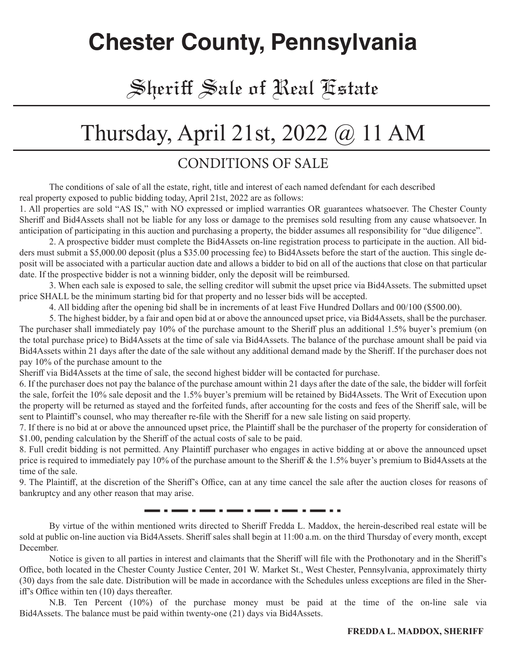### **Chester County, Pennsylvania**

### Sheriff Sale of Real Estate

### Thursday, April 21st, 2022 @ 11 AM

#### CONDITIONS OF SALE

The conditions of sale of all the estate, right, title and interest of each named defendant for each described real property exposed to public bidding today, April 21st, 2022 are as follows:

1. All properties are sold "AS IS," with NO expressed or implied warranties OR guarantees whatsoever. The Chester County Sheriff and Bid4Assets shall not be liable for any loss or damage to the premises sold resulting from any cause whatsoever. In anticipation of participating in this auction and purchasing a property, the bidder assumes all responsibility for "due diligence".

2. A prospective bidder must complete the Bid4Assets on-line registration process to participate in the auction. All bidders must submit a \$5,000.00 deposit (plus a \$35.00 processing fee) to Bid4Assets before the start of the auction. This single deposit will be associated with a particular auction date and allows a bidder to bid on all of the auctions that close on that particular date. If the prospective bidder is not a winning bidder, only the deposit will be reimbursed.

3. When each sale is exposed to sale, the selling creditor will submit the upset price via Bid4Assets. The submitted upset price SHALL be the minimum starting bid for that property and no lesser bids will be accepted.

4. All bidding after the opening bid shall be in increments of at least Five Hundred Dollars and 00/100 (\$500.00).

5. The highest bidder, by a fair and open bid at or above the announced upset price, via Bid4Assets, shall be the purchaser. The purchaser shall immediately pay 10% of the purchase amount to the Sheriff plus an additional 1.5% buyer's premium (on the total purchase price) to Bid4Assets at the time of sale via Bid4Assets. The balance of the purchase amount shall be paid via Bid4Assets within 21 days after the date of the sale without any additional demand made by the Sheriff. If the purchaser does not pay 10% of the purchase amount to the

Sheriff via Bid4Assets at the time of sale, the second highest bidder will be contacted for purchase.

6. If the purchaser does not pay the balance of the purchase amount within 21 days after the date of the sale, the bidder will forfeit the sale, forfeit the 10% sale deposit and the 1.5% buyer's premium will be retained by Bid4Assets. The Writ of Execution upon the property will be returned as stayed and the forfeited funds, after accounting for the costs and fees of the Sheriff sale, will be sent to Plaintiff's counsel, who may thereafter re-file with the Sheriff for a new sale listing on said property.

7. If there is no bid at or above the announced upset price, the Plaintiff shall be the purchaser of the property for consideration of \$1.00, pending calculation by the Sheriff of the actual costs of sale to be paid.

8. Full credit bidding is not permitted. Any Plaintiff purchaser who engages in active bidding at or above the announced upset price is required to immediately pay 10% of the purchase amount to the Sheriff & the 1.5% buyer's premium to Bid4Assets at the time of the sale.

9. The Plaintiff, at the discretion of the Sheriff's Office, can at any time cancel the sale after the auction closes for reasons of bankruptcy and any other reason that may arise.

. . .<del>....</del> . .

By virtue of the within mentioned writs directed to Sheriff Fredda L. Maddox, the herein-described real estate will be sold at public on-line auction via Bid4Assets. Sheriff sales shall begin at 11:00 a.m. on the third Thursday of every month, except December.

Notice is given to all parties in interest and claimants that the Sheriff will file with the Prothonotary and in the Sheriff's Office, both located in the Chester County Justice Center, 201 W. Market St., West Chester, Pennsylvania, approximately thirty (30) days from the sale date. Distribution will be made in accordance with the Schedules unless exceptions are filed in the Sheriff's Office within ten (10) days thereafter.

N.B. Ten Percent (10%) of the purchase money must be paid at the time of the on-line sale via Bid4Assets. The balance must be paid within twenty-one (21) days via Bid4Assets.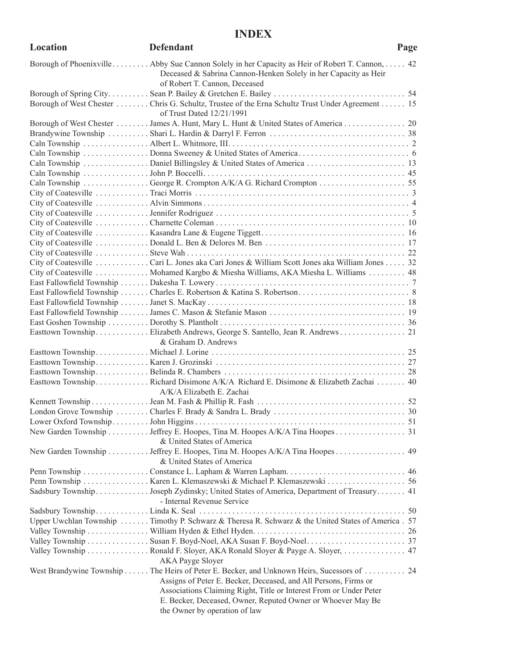#### **INDEX**

| Location | <b>Defendant</b>                                                                                                                                                                                   | Page |
|----------|----------------------------------------------------------------------------------------------------------------------------------------------------------------------------------------------------|------|
|          | Borough of Phoenixville Abby Sue Cannon Solely in her Capacity as Heir of Robert T. Cannon, 42<br>Deceased & Sabrina Cannon-Henken Solely in her Capacity as Heir<br>of Robert T. Cannon, Deceased |      |
|          | Borough of West Chester Chris G. Schultz, Trustee of the Erna Schultz Trust Under Agreement  15<br>of Trust Dated 12/21/1991                                                                       |      |
|          | Borough of West Chester James A. Hunt, Mary L. Hunt & United States of America 20                                                                                                                  |      |
|          |                                                                                                                                                                                                    |      |
|          |                                                                                                                                                                                                    |      |
|          |                                                                                                                                                                                                    |      |
|          | Caln Township Daniel Billingsley & United States of America  13                                                                                                                                    |      |
|          |                                                                                                                                                                                                    |      |
|          |                                                                                                                                                                                                    |      |
|          |                                                                                                                                                                                                    |      |
|          |                                                                                                                                                                                                    |      |
|          |                                                                                                                                                                                                    |      |
|          |                                                                                                                                                                                                    |      |
|          |                                                                                                                                                                                                    |      |
|          |                                                                                                                                                                                                    |      |
|          | City of Coatesville Cari L. Jones aka Cari Jones & William Scott Jones aka William Jones 32                                                                                                        |      |
|          | City of Coatesville  Mohamed Kargbo & Miesha Williams, AKA Miesha L. Williams  48                                                                                                                  |      |
|          |                                                                                                                                                                                                    |      |
|          |                                                                                                                                                                                                    |      |
|          |                                                                                                                                                                                                    |      |
|          |                                                                                                                                                                                                    |      |
|          |                                                                                                                                                                                                    |      |
|          | Easttown Township Elizabeth Andrews, George S. Santello, Jean R. Andrews 21                                                                                                                        |      |
|          | & Graham D. Andrews                                                                                                                                                                                |      |
|          |                                                                                                                                                                                                    |      |
|          |                                                                                                                                                                                                    |      |
|          | Easttown Township Richard Disimone A/K/A Richard E. Disimone & Elizabeth Zachai 40                                                                                                                 |      |
|          | A/K/A Elizabeth E. Zachai                                                                                                                                                                          |      |
|          |                                                                                                                                                                                                    |      |
|          |                                                                                                                                                                                                    |      |
|          |                                                                                                                                                                                                    |      |
|          | New Garden Township Jeffrey E. Hoopes, Tina M. Hoopes A/K/A Tina Hoopes 31<br>& United States of America                                                                                           |      |
|          | New Garden Township  Jeffrey E. Hoopes, Tina M. Hoopes A/K/A Tina Hoopes  49<br>& United States of America                                                                                         |      |
|          |                                                                                                                                                                                                    |      |
|          | Penn Township  Karen L. Klemaszewski & Michael P. Klemaszewski  56                                                                                                                                 |      |
|          | Sadsbury Township Joseph Zydinsky; United States of America, Department of Treasury 41<br>- Internal Revenue Service                                                                               |      |
|          |                                                                                                                                                                                                    |      |
|          | Upper Uwchlan Township  Timothy P. Schwarz & Theresa R. Schwarz & the United States of America . 57                                                                                                |      |
|          |                                                                                                                                                                                                    |      |
|          |                                                                                                                                                                                                    |      |
|          | Valley Township Ronald F. Sloyer, AKA Ronald Sloyer & Payge A. Sloyer,  47<br>AKA Payge Sloyer                                                                                                     |      |
|          | West Brandywine Township The Heirs of Peter E. Becker, and Unknown Heirs, Sucessors of 24                                                                                                          |      |
|          | Assigns of Peter E. Becker, Deceased, and All Persons, Firms or                                                                                                                                    |      |
|          | Associations Claiming Right, Title or Interest From or Under Peter                                                                                                                                 |      |
|          | E. Becker, Deceased, Owner, Reputed Owner or Whoever May Be                                                                                                                                        |      |
|          | the Owner by operation of law                                                                                                                                                                      |      |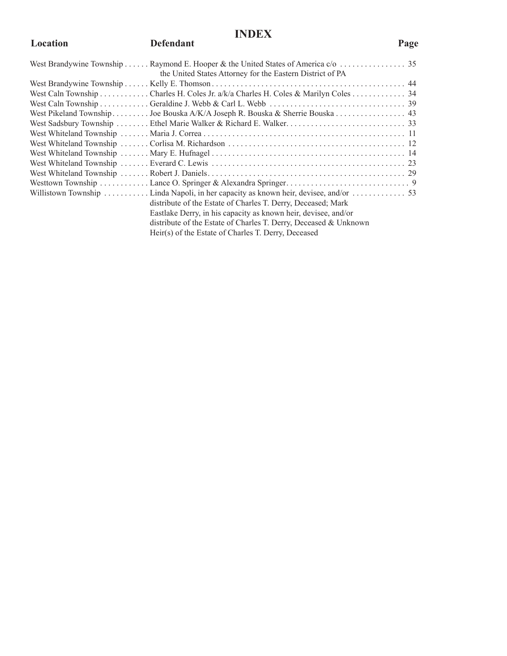#### **INDEX**

#### Location **Defendant COLLECTE Page**

| the United States Attorney for the Eastern District of PA                         |  |
|-----------------------------------------------------------------------------------|--|
|                                                                                   |  |
| West Caln Township Charles H. Coles Jr. a/k/a Charles H. Coles & Marilyn Coles 34 |  |
|                                                                                   |  |
| West Pikeland Township Joe Bouska A/K/A Joseph R. Bouska & Sherrie Bouska 43      |  |
|                                                                                   |  |
|                                                                                   |  |
|                                                                                   |  |
|                                                                                   |  |
|                                                                                   |  |
|                                                                                   |  |
|                                                                                   |  |
|                                                                                   |  |
| distribute of the Estate of Charles T. Derry, Deceased; Mark                      |  |
| Eastlake Derry, in his capacity as known heir, devisee, and/or                    |  |
| distribute of the Estate of Charles T. Derry, Deceased & Unknown                  |  |
| Heir(s) of the Estate of Charles T. Derry, Deceased                               |  |
|                                                                                   |  |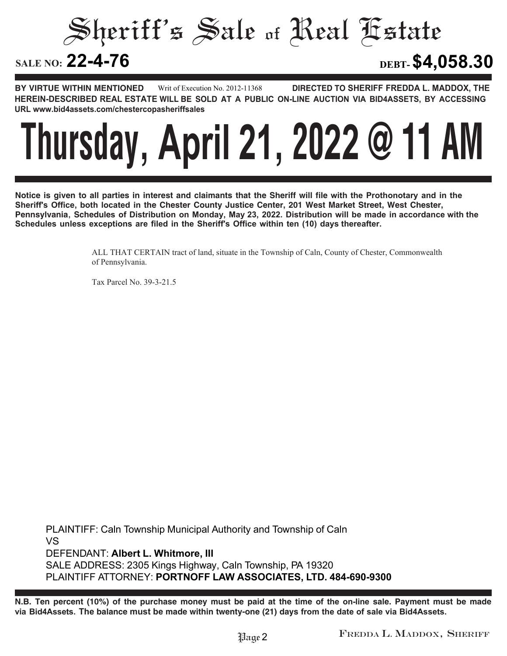Sheriff's Sale of Real Estate

**22-4-76 DEBT-\$4,058.30**

**BY VIRTUE WITHIN MENTIONED DIRECTED TO SHERIFF FREDDA L. MADDOX, THE HEREIN-DESCRIBED REAL ESTATE WILL BE SOLD AT A PUBLIC ON-LINE AUCTION VIA BID4ASSETS, BY ACCESSING URL www.bid4assets.com/chestercopasheriffsales Writ of Execution No. 2012-11368**



**Notice is given to all parties in interest and claimants that the Sheriff will file with the Prothonotary and in the Sheriff's Office, both located in the Chester County Justice Center, 201 West Market Street, West Chester, Pennsylvania, Schedules of Distribution on Monday, May 23, 2022. Distribution will be made in accordance with the Schedules unless exceptions are filed in the Sheriff's Office within ten (10) days thereafter.**

> ALL THAT CERTAIN tract of land, situate in the Township of Caln, County of Chester, Commonwealth of Pennsylvania.

Tax Parcel No. 39-3-21.5

**PLAINTIFF: Caln Township Municipal Authority and Township of Caln VS DEFENDANT: Albert L. Whitmore, III SALE ADDRESS: 2305 Kings Highway, Caln Township, PA 19320 PLAINTIFF ATTORNEY: PORTNOFF LAW ASSOCIATES, LTD. 484-690-9300**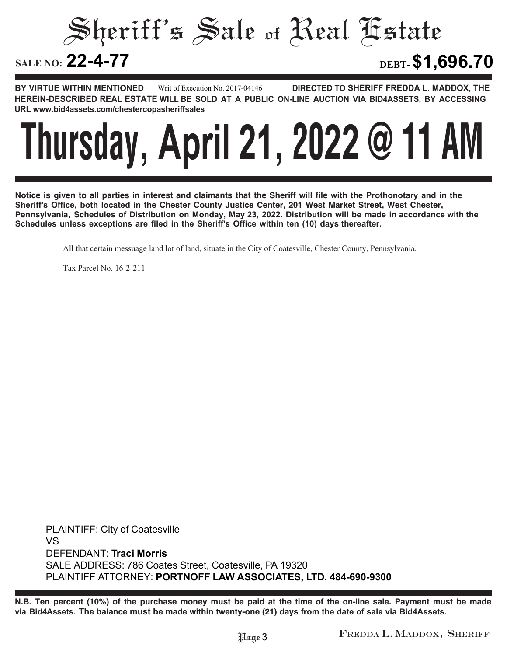Sheriff's Sale of Real Estate **SALE NO: 22-4-77 22-4-77 DEBT-\$1,696.70**

**BY VIRTUE WITHIN MENTIONED DIRECTED TO SHERIFF FREDDA L. MADDOX, THE HEREIN-DESCRIBED REAL ESTATE WILL BE SOLD AT A PUBLIC ON-LINE AUCTION VIA BID4ASSETS, BY ACCESSING URL www.bid4assets.com/chestercopasheriffsales Writ of Execution No. 2017-04146**



**Notice is given to all parties in interest and claimants that the Sheriff will file with the Prothonotary and in the Sheriff's Office, both located in the Chester County Justice Center, 201 West Market Street, West Chester, Pennsylvania, Schedules of Distribution on Monday, May 23, 2022. Distribution will be made in accordance with the Schedules unless exceptions are filed in the Sheriff's Office within ten (10) days thereafter.**

All that certain messuage land lot of land, situate in the City of Coatesville, Chester County, Pennsylvania.

Tax Parcel No. 16-2-211

**PLAINTIFF: City of Coatesville VS DEFENDANT: Traci Morris SALE ADDRESS: 786 Coates Street, Coatesville, PA 19320 PLAINTIFF ATTORNEY: PORTNOFF LAW ASSOCIATES, LTD. 484-690-9300**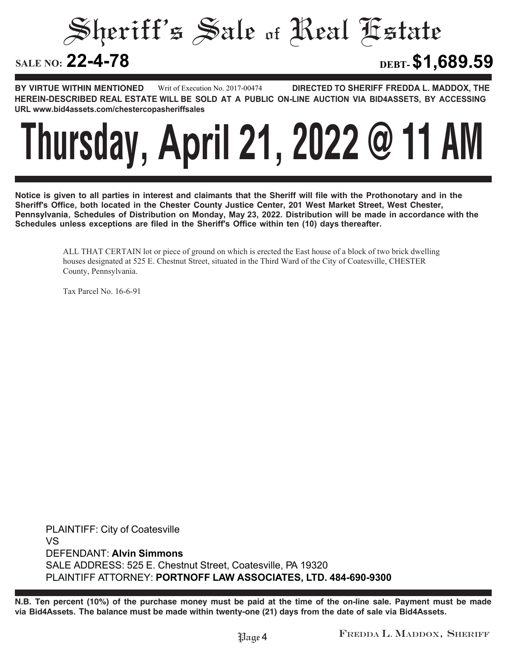Sheriff's Sale of Real Estate

**22-4-78 DEBT-\$1,689.59**

**BY VIRTUE WITHIN MENTIONED DIRECTED TO SHERIFF FREDDA L. MADDOX, THE HEREIN-DESCRIBED REAL ESTATE WILL BE SOLD AT A PUBLIC ON-LINE AUCTION VIA BID4ASSETS, BY ACCESSING URL www.bid4assets.com/chestercopasheriffsales Writ of Execution No. 2017-00474**



**Notice is given to all parties in interest and claimants that the Sheriff will file with the Prothonotary and in the Sheriff's Office, both located in the Chester County Justice Center, 201 West Market Street, West Chester, Pennsylvania, Schedules of Distribution on Monday, May 23, 2022. Distribution will be made in accordance with the Schedules unless exceptions are filed in the Sheriff's Office within ten (10) days thereafter.**

> ALL THAT CERTAIN lot or piece of ground on which is erected the East house of a block of two brick dwelling houses designated at 525 E. Chestnut Street, situated in the Third Ward of the City of Coatesville, CHESTER County, Pennsylvania.

Tax Parcel No. 16-6-91

**PLAINTIFF: City of Coatesville VS DEFENDANT: Alvin Simmons SALE ADDRESS:** 525 **E. Chestnut Street, Coatesville, PA 19320 PLAINTIFF ATTORNEY: PORTNOFF LAW ASSOCIATES, LTD. 484-690-9300**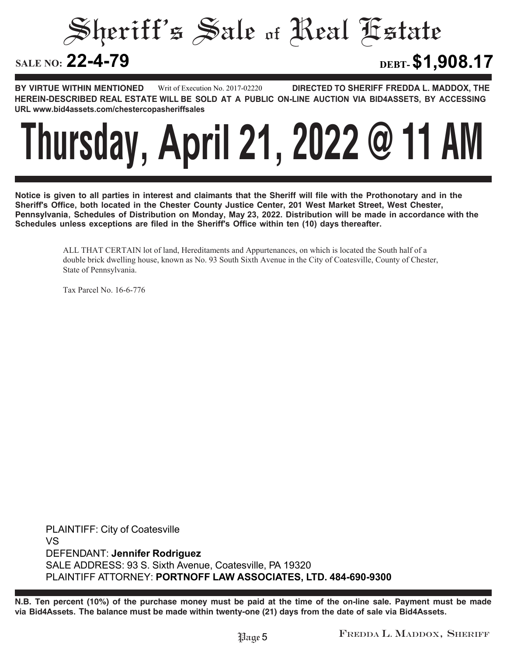Sheriff's Sale of Real Estate

**22-4-79 DEBT-\$1,908.17**

**BY VIRTUE WITHIN MENTIONED DIRECTED TO SHERIFF FREDDA L. MADDOX, THE HEREIN-DESCRIBED REAL ESTATE WILL BE SOLD AT A PUBLIC ON-LINE AUCTION VIA BID4ASSETS, BY ACCESSING URL www.bid4assets.com/chestercopasheriffsales Writ of Execution No. 2017-02220**



**Notice is given to all parties in interest and claimants that the Sheriff will file with the Prothonotary and in the Sheriff's Office, both located in the Chester County Justice Center, 201 West Market Street, West Chester, Pennsylvania, Schedules of Distribution on Monday, May 23, 2022. Distribution will be made in accordance with the Schedules unless exceptions are filed in the Sheriff's Office within ten (10) days thereafter.**

> ALL THAT CERTAIN lot of land, Hereditaments and Appurtenances, on which is located the South half of a double brick dwelling house, known as No. 93 South Sixth Avenue in the City of Coatesville, County of Chester, State of Pennsylvania.

Tax Parcel No. 16-6-776

**PLAINTIFF: City of Coatesville VS DEFENDANT: Jennifer Rodriguez SALE ADDRESS: 93 S. Sixth Avenue, Coatesville, PA 19320 PLAINTIFF ATTORNEY: PORTNOFF LAW ASSOCIATES, LTD. 484-690-9300**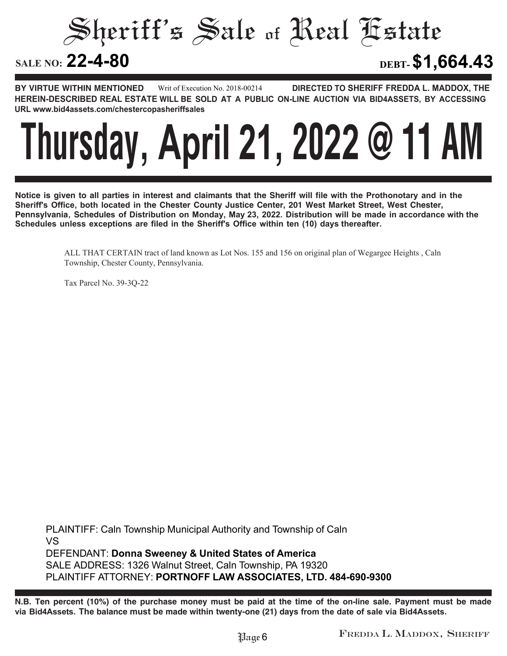Sheriff's Sale of Real Estate

**22-4-80 DEBT-\$1,664.43**

**BY VIRTUE WITHIN MENTIONED DIRECTED TO SHERIFF FREDDA L. MADDOX, THE HEREIN-DESCRIBED REAL ESTATE WILL BE SOLD AT A PUBLIC ON-LINE AUCTION VIA BID4ASSETS, BY ACCESSING URL www.bid4assets.com/chestercopasheriffsales Writ of Execution No. 2018-00214**



**Notice is given to all parties in interest and claimants that the Sheriff will file with the Prothonotary and in the Sheriff's Office, both located in the Chester County Justice Center, 201 West Market Street, West Chester, Pennsylvania, Schedules of Distribution on Monday, May 23, 2022. Distribution will be made in accordance with the Schedules unless exceptions are filed in the Sheriff's Office within ten (10) days thereafter.**

> ALL THAT CERTAIN tract of land known as Lot Nos. 155 and 156 on original plan of Wegargee Heights , Caln Township, Chester County, Pennsylvania.

Tax Parcel No. 39-3Q-22

**PLAINTIFF: Caln Township Municipal Authority and Township of Caln VS DEFENDANT: Donna Sweeney & United States of America SALE ADDRESS: 1326 Walnut Street, Caln Township, PA 19320 PLAINTIFF ATTORNEY: PORTNOFF LAW ASSOCIATES, LTD. 484-690-9300**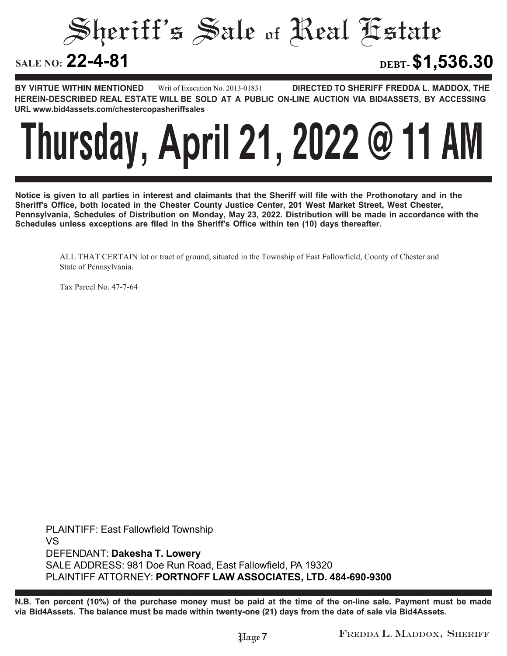Sheriff's Sale of Real Estate

**22-4-81 DEBT-\$1,536.30**

**BY VIRTUE WITHIN MENTIONED DIRECTED TO SHERIFF FREDDA L. MADDOX, THE HEREIN-DESCRIBED REAL ESTATE WILL BE SOLD AT A PUBLIC ON-LINE AUCTION VIA BID4ASSETS, BY ACCESSING URL www.bid4assets.com/chestercopasheriffsales Writ of Execution No. 2013-01831**



**Notice is given to all parties in interest and claimants that the Sheriff will file with the Prothonotary and in the Sheriff's Office, both located in the Chester County Justice Center, 201 West Market Street, West Chester, Pennsylvania, Schedules of Distribution on Monday, May 23, 2022. Distribution will be made in accordance with the Schedules unless exceptions are filed in the Sheriff's Office within ten (10) days thereafter.**

ALL THAT CERTAIN lot or tract of ground, situated in the Township of East Fallowfield, County of Chester and State of Pennsylvania.

Tax Parcel No. 47-7-64

**PLAINTIFF: East Fallowfield Township VS DEFENDANT: Dakesha T. Lowery SALE ADDRESS: 981 Doe Run Road, East Fallowfield, PA 19320 PLAINTIFF ATTORNEY: PORTNOFF LAW ASSOCIATES, LTD. 484-690-9300**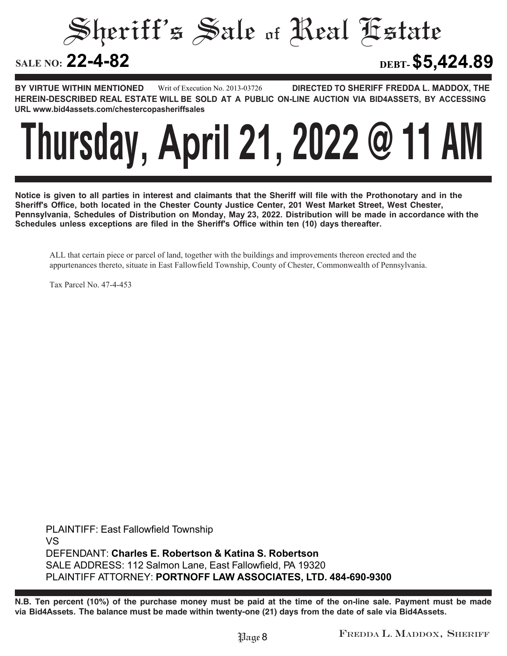Sheriff's Sale of Real Estate

**22-4-82 DEBT-\$5,424.89**

**BY VIRTUE WITHIN MENTIONED DIRECTED TO SHERIFF FREDDA L. MADDOX, THE HEREIN-DESCRIBED REAL ESTATE WILL BE SOLD AT A PUBLIC ON-LINE AUCTION VIA BID4ASSETS, BY ACCESSING URL www.bid4assets.com/chestercopasheriffsales Writ of Execution No. 2013-03726**



**Notice is given to all parties in interest and claimants that the Sheriff will file with the Prothonotary and in the Sheriff's Office, both located in the Chester County Justice Center, 201 West Market Street, West Chester, Pennsylvania, Schedules of Distribution on Monday, May 23, 2022. Distribution will be made in accordance with the Schedules unless exceptions are filed in the Sheriff's Office within ten (10) days thereafter.**

ALL that certain piece or parcel of land, together with the buildings and improvements thereon erected and the appurtenances thereto, situate in East Fallowfield Township, County of Chester, Commonwealth of Pennsylvania.

Tax Parcel No. 47-4-453

**PLAINTIFF: East Fallowfield Township VS DEFENDANT: Charles E. Robertson & Katina S. Robertson SALE ADDRESS: 112 Salmon Lane, East Fallowfield, PA 19320 PLAINTIFF ATTORNEY: PORTNOFF LAW ASSOCIATES, LTD. 484-690-9300**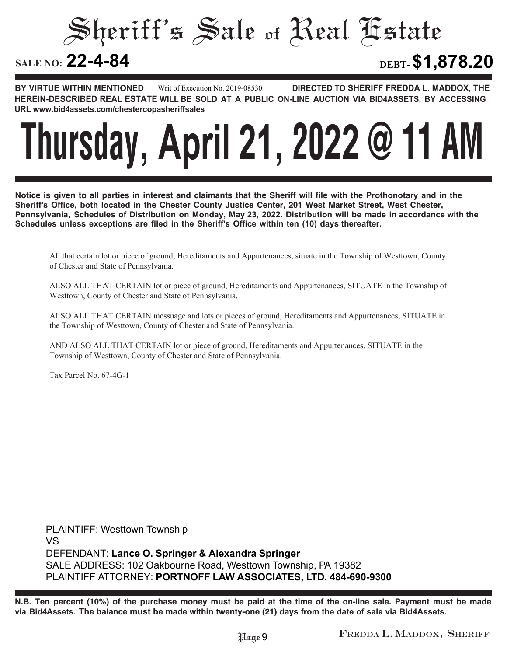Sheriff's Sale of Real Estate

**22-4-84 DEBT-\$1,878.20**

**BY VIRTUE WITHIN MENTIONED DIRECTED TO SHERIFF FREDDA L. MADDOX, THE HEREIN-DESCRIBED REAL ESTATE WILL BE SOLD AT A PUBLIC ON-LINE AUCTION VIA BID4ASSETS, BY ACCESSING URL www.bid4assets.com/chestercopasheriffsales Writ of Execution No. 2019-08530**

## **Thursday, April 21, 2022 @ 11 AM**

**Notice is given to all parties in interest and claimants that the Sheriff will file with the Prothonotary and in the Sheriff's Office, both located in the Chester County Justice Center, 201 West Market Street, West Chester, Pennsylvania, Schedules of Distribution on Monday, May 23, 2022. Distribution will be made in accordance with the Schedules unless exceptions are filed in the Sheriff's Office within ten (10) days thereafter.**

All that certain lot or piece of ground, Hereditaments and Appurtenances, situate in the Township of Westtown, County of Chester and State of Pennsylvania.

ALSO ALL THAT CERTAIN lot or piece of ground, Hereditaments and Appurtenances, SITUATE in the Township of Westtown, County of Chester and State of Pennsylvania.

ALSO ALL THAT CERTAIN messuage and lots or pieces of ground, Hereditaments and Appurtenances, SITUATE in the Township of Westtown, County of Chester and State of Pennsylvania.

AND ALSO ALL THAT CERTAIN lot or piece of ground, Hereditaments and Appurtenances, SITUATE in the Township of Westtown, County of Chester and State of Pennsylvania.

Tax Parcel No. 67-4G-1

**PLAINTIFF: Westtown Township VS DEFENDANT: Lance O. Springer & Alexandra Springer SALE ADDRESS: 102 Oakbourne Road, Westtown Township, PA 19382 PLAINTIFF ATTORNEY: PORTNOFF LAW ASSOCIATES, LTD. 484-690-9300**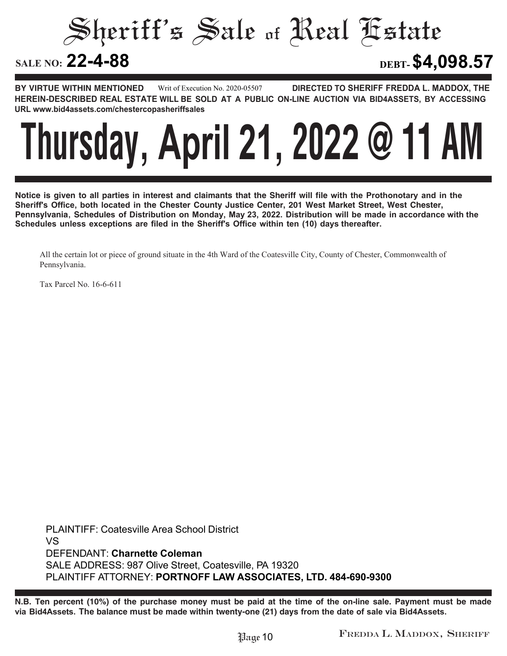Sheriff's Sale of Real Estate

**22-4-88 DEBT-\$4,098.57**

**BY VIRTUE WITHIN MENTIONED DIRECTED TO SHERIFF FREDDA L. MADDOX, THE HEREIN-DESCRIBED REAL ESTATE WILL BE SOLD AT A PUBLIC ON-LINE AUCTION VIA BID4ASSETS, BY ACCESSING URL www.bid4assets.com/chestercopasheriffsales Writ of Execution No. 2020-05507**



**Notice is given to all parties in interest and claimants that the Sheriff will file with the Prothonotary and in the Sheriff's Office, both located in the Chester County Justice Center, 201 West Market Street, West Chester, Pennsylvania, Schedules of Distribution on Monday, May 23, 2022. Distribution will be made in accordance with the Schedules unless exceptions are filed in the Sheriff's Office within ten (10) days thereafter.**

All the certain lot or piece of ground situate in the 4th Ward of the Coatesville City, County of Chester, Commonwealth of Pennsylvania.

Tax Parcel No. 16-6-611

**PLAINTIFF: Coatesville Area School District VS DEFENDANT: Charnette Coleman SALE ADDRESS: 987 Olive Street, Coatesville, PA 19320 PLAINTIFF ATTORNEY: PORTNOFF LAW ASSOCIATES, LTD. 484-690-9300**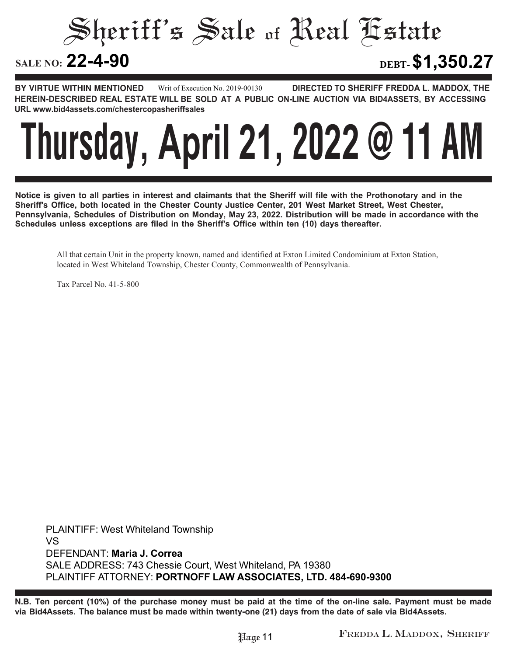Sheriff's Sale of Real Estate

**22-4-90 DEBT-\$1,350.27**

**BY VIRTUE WITHIN MENTIONED DIRECTED TO SHERIFF FREDDA L. MADDOX, THE HEREIN-DESCRIBED REAL ESTATE WILL BE SOLD AT A PUBLIC ON-LINE AUCTION VIA BID4ASSETS, BY ACCESSING URL www.bid4assets.com/chestercopasheriffsales Writ of Execution No. 2019-00130**



**Notice is given to all parties in interest and claimants that the Sheriff will file with the Prothonotary and in the Sheriff's Office, both located in the Chester County Justice Center, 201 West Market Street, West Chester, Pennsylvania, Schedules of Distribution on Monday, May 23, 2022. Distribution will be made in accordance with the Schedules unless exceptions are filed in the Sheriff's Office within ten (10) days thereafter.**

All that certain Unit in the property known, named and identified at Exton Limited Condominium at Exton Station, located in West Whiteland Township, Chester County, Commonwealth of Pennsylvania.

Tax Parcel No. 41-5-800

**PLAINTIFF: West Whiteland Township VS DEFENDANT: Maria J. Correa SALE ADDRESS: 743 Chessie Court, West Whiteland, PA 19380 PLAINTIFF ATTORNEY: PORTNOFF LAW ASSOCIATES, LTD. 484-690-9300**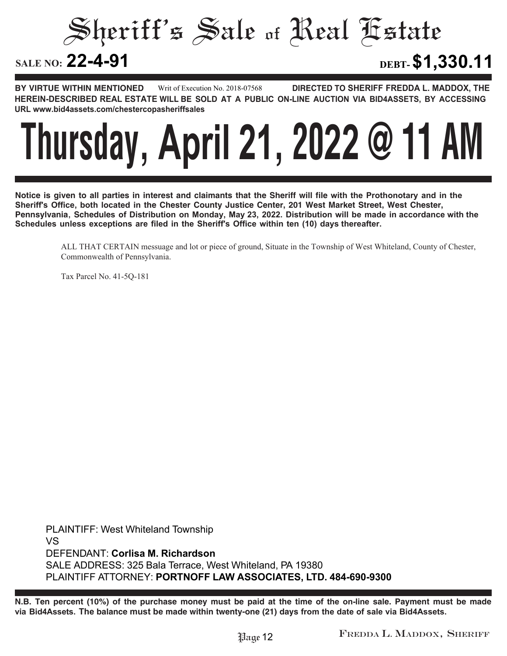Sheriff's Sale of Real Estate

**22-4-91 DEBT-\$1,330.11**

**BY VIRTUE WITHIN MENTIONED DIRECTED TO SHERIFF FREDDA L. MADDOX, THE HEREIN-DESCRIBED REAL ESTATE WILL BE SOLD AT A PUBLIC ON-LINE AUCTION VIA BID4ASSETS, BY ACCESSING URL www.bid4assets.com/chestercopasheriffsales Writ of Execution No. 2018-07568**



**Notice is given to all parties in interest and claimants that the Sheriff will file with the Prothonotary and in the Sheriff's Office, both located in the Chester County Justice Center, 201 West Market Street, West Chester, Pennsylvania, Schedules of Distribution on Monday, May 23, 2022. Distribution will be made in accordance with the Schedules unless exceptions are filed in the Sheriff's Office within ten (10) days thereafter.**

ALL THAT CERTAIN messuage and lot or piece of ground, Situate in the Township of West Whiteland, County of Chester, Commonwealth of Pennsylvania.

Tax Parcel No. 41-5Q-181

**PLAINTIFF: West Whiteland Township VS DEFENDANT: Corlisa M. Richardson SALE ADDRESS: 325 Bala Terrace, West Whiteland, PA 19380 PLAINTIFF ATTORNEY: PORTNOFF LAW ASSOCIATES, LTD. 484-690-9300**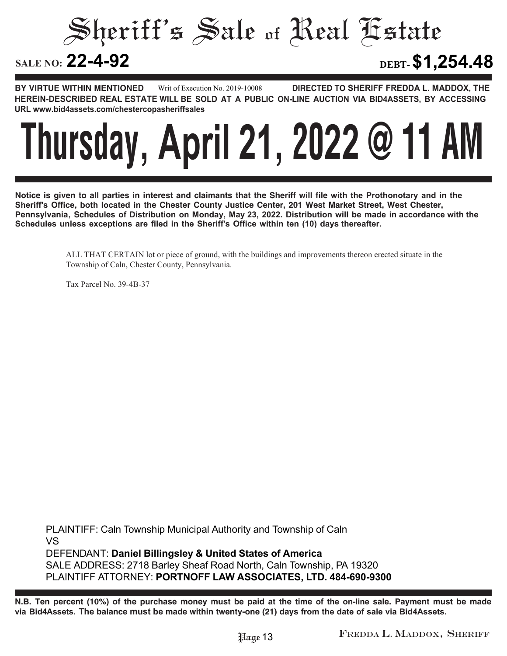Sheriff's Sale of Real Estate

**22-4-92 DEBT-\$1,254.48**

**BY VIRTUE WITHIN MENTIONED DIRECTED TO SHERIFF FREDDA L. MADDOX, THE HEREIN-DESCRIBED REAL ESTATE WILL BE SOLD AT A PUBLIC ON-LINE AUCTION VIA BID4ASSETS, BY ACCESSING URL www.bid4assets.com/chestercopasheriffsales Writ of Execution No. 2019-10008**



**Notice is given to all parties in interest and claimants that the Sheriff will file with the Prothonotary and in the Sheriff's Office, both located in the Chester County Justice Center, 201 West Market Street, West Chester, Pennsylvania, Schedules of Distribution on Monday, May 23, 2022. Distribution will be made in accordance with the Schedules unless exceptions are filed in the Sheriff's Office within ten (10) days thereafter.**

> ALL THAT CERTAIN lot or piece of ground, with the buildings and improvements thereon erected situate in the Township of Caln, Chester County, Pennsylvania.

Tax Parcel No. 39-4B-37

**PLAINTIFF: Caln Township Municipal Authority and Township of Caln VS DEFENDANT: Daniel Billingsley & United States of America SALE ADDRESS: 2718 Barley Sheaf Road North, Caln Township, PA 19320 PLAINTIFF ATTORNEY: PORTNOFF LAW ASSOCIATES, LTD. 484-690-9300**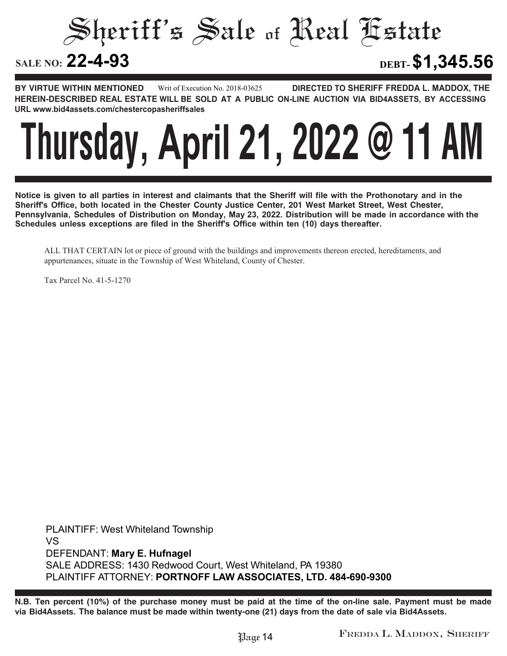Sheriff's Sale of Real Estate

**22-4-93 DEBT-\$1,345.56**

**BY VIRTUE WITHIN MENTIONED DIRECTED TO SHERIFF FREDDA L. MADDOX, THE HEREIN-DESCRIBED REAL ESTATE WILL BE SOLD AT A PUBLIC ON-LINE AUCTION VIA BID4ASSETS, BY ACCESSING URL www.bid4assets.com/chestercopasheriffsales Writ of Execution No. 2018-03625**



**Notice is given to all parties in interest and claimants that the Sheriff will file with the Prothonotary and in the Sheriff's Office, both located in the Chester County Justice Center, 201 West Market Street, West Chester, Pennsylvania, Schedules of Distribution on Monday, May 23, 2022. Distribution will be made in accordance with the Schedules unless exceptions are filed in the Sheriff's Office within ten (10) days thereafter.**

ALL THAT CERTAIN lot or piece of ground with the buildings and improvements thereon erected, hereditaments, and appurtenances, situate in the Township of West Whiteland, County of Chester.

Tax Parcel No. 41-5-1270

**PLAINTIFF: West Whiteland Township VS DEFENDANT: Mary E. Hufnagel SALE ADDRESS: 1430 Redwood Court, West Whiteland, PA 19380 PLAINTIFF ATTORNEY: PORTNOFF LAW ASSOCIATES, LTD. 484-690-9300**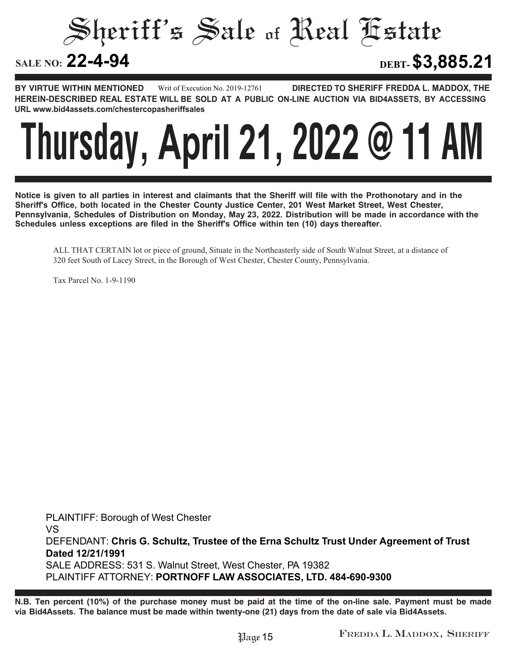Sheriff's Sale of Real Estate

**22-4-94 DEBT-\$3,885.21**

**BY VIRTUE WITHIN MENTIONED DIRECTED TO SHERIFF FREDDA L. MADDOX, THE HEREIN-DESCRIBED REAL ESTATE WILL BE SOLD AT A PUBLIC ON-LINE AUCTION VIA BID4ASSETS, BY ACCESSING URL www.bid4assets.com/chestercopasheriffsales Writ of Execution No. 2019-12761**



**Notice is given to all parties in interest and claimants that the Sheriff will file with the Prothonotary and in the Sheriff's Office, both located in the Chester County Justice Center, 201 West Market Street, West Chester, Pennsylvania, Schedules of Distribution on Monday, May 23, 2022. Distribution will be made in accordance with the Schedules unless exceptions are filed in the Sheriff's Office within ten (10) days thereafter.**

ALL THAT CERTAIN lot or piece of ground, Situate in the Northeasterly side of South Walnut Street, at a distance of 320 feet South of Lacey Street, in the Borough of West Chester, Chester County, Pennsylvania.

Tax Parcel No. 1-9-1190

**PLAINTIFF: Borough of West Chester VS DEFENDANT: Chris G. Schultz, Trustee of the Erna Schultz Trust Under Agreement of Trust Dated 12/21/1991 SALE ADDRESS: 531 S. Walnut Street, West Chester, PA 19382 PLAINTIFF ATTORNEY: PORTNOFF LAW ASSOCIATES, LTD. 484-690-9300**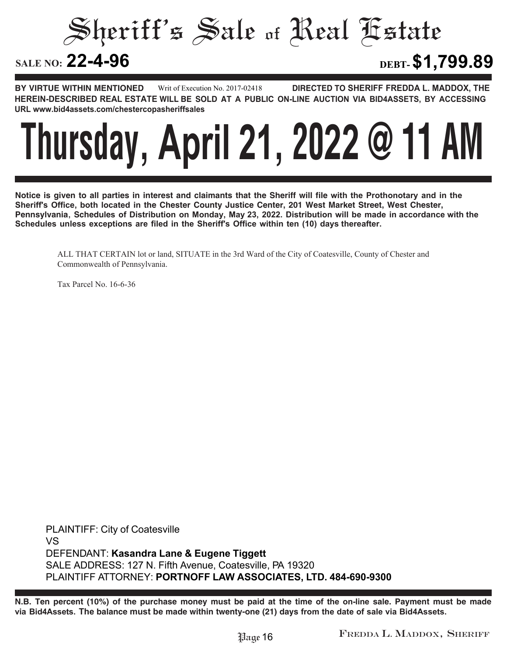Sheriff's Sale of Real Estate

**22-4-96 DEBT-\$1,799.89**

**BY VIRTUE WITHIN MENTIONED DIRECTED TO SHERIFF FREDDA L. MADDOX, THE HEREIN-DESCRIBED REAL ESTATE WILL BE SOLD AT A PUBLIC ON-LINE AUCTION VIA BID4ASSETS, BY ACCESSING URL www.bid4assets.com/chestercopasheriffsales Writ of Execution No. 2017-02418**



**Notice is given to all parties in interest and claimants that the Sheriff will file with the Prothonotary and in the Sheriff's Office, both located in the Chester County Justice Center, 201 West Market Street, West Chester, Pennsylvania, Schedules of Distribution on Monday, May 23, 2022. Distribution will be made in accordance with the Schedules unless exceptions are filed in the Sheriff's Office within ten (10) days thereafter.**

ALL THAT CERTAIN lot or land, SITUATE in the 3rd Ward of the City of Coatesville, County of Chester and Commonwealth of Pennsylvania.

Tax Parcel No. 16-6-36

**PLAINTIFF: City of Coatesville VS DEFENDANT: Kasandra Lane & Eugene Tiggett SALE ADDRESS: 127 N. Fifth Avenue, Coatesville, PA 19320 PLAINTIFF ATTORNEY: PORTNOFF LAW ASSOCIATES, LTD. 484-690-9300**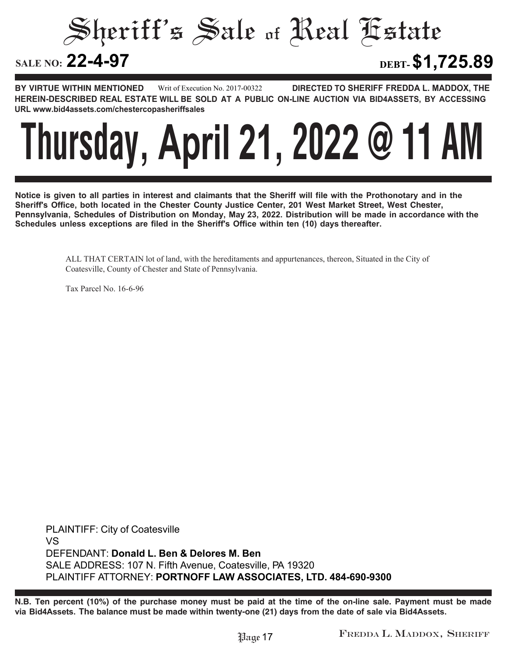Sheriff's Sale of Real Estate

**22-4-97 DEBT-\$1,725.89**

**BY VIRTUE WITHIN MENTIONED DIRECTED TO SHERIFF FREDDA L. MADDOX, THE HEREIN-DESCRIBED REAL ESTATE WILL BE SOLD AT A PUBLIC ON-LINE AUCTION VIA BID4ASSETS, BY ACCESSING URL www.bid4assets.com/chestercopasheriffsales Writ of Execution No. 2017-00322**



**Notice is given to all parties in interest and claimants that the Sheriff will file with the Prothonotary and in the Sheriff's Office, both located in the Chester County Justice Center, 201 West Market Street, West Chester, Pennsylvania, Schedules of Distribution on Monday, May 23, 2022. Distribution will be made in accordance with the Schedules unless exceptions are filed in the Sheriff's Office within ten (10) days thereafter.**

> ALL THAT CERTAIN lot of land, with the hereditaments and appurtenances, thereon, Situated in the City of Coatesville, County of Chester and State of Pennsylvania.

Tax Parcel No. 16-6-96

**PLAINTIFF: City of Coatesville VS DEFENDANT: Donald L. Ben & Delores M. Ben SALE ADDRESS: 107 N. Fifth Avenue, Coatesville, PA 19320 PLAINTIFF ATTORNEY: PORTNOFF LAW ASSOCIATES, LTD. 484-690-9300**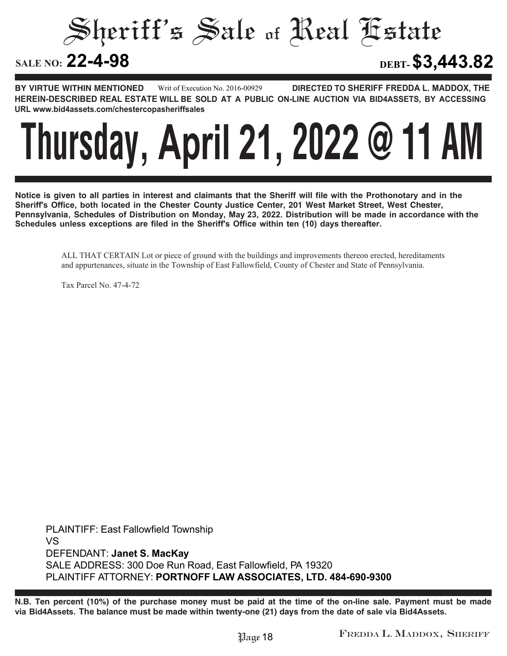Sheriff's Sale of Real Estate

**22-4-98 DEBT-\$3,443.82**

**BY VIRTUE WITHIN MENTIONED DIRECTED TO SHERIFF FREDDA L. MADDOX, THE HEREIN-DESCRIBED REAL ESTATE WILL BE SOLD AT A PUBLIC ON-LINE AUCTION VIA BID4ASSETS, BY ACCESSING URL www.bid4assets.com/chestercopasheriffsales Writ of Execution No. 2016-00929**



**Notice is given to all parties in interest and claimants that the Sheriff will file with the Prothonotary and in the Sheriff's Office, both located in the Chester County Justice Center, 201 West Market Street, West Chester, Pennsylvania, Schedules of Distribution on Monday, May 23, 2022. Distribution will be made in accordance with the Schedules unless exceptions are filed in the Sheriff's Office within ten (10) days thereafter.**

ALL THAT CERTAIN Lot or piece of ground with the buildings and improvements thereon erected, hereditaments and appurtenances, situate in the Township of East Fallowfield, County of Chester and State of Pennsylvania.

Tax Parcel No. 47-4-72

**PLAINTIFF: East Fallowfield Township VS DEFENDANT: Janet S. MacKay SALE ADDRESS: 300 Doe Run Road, East Fallowfield, PA 19320 PLAINTIFF ATTORNEY: PORTNOFF LAW ASSOCIATES, LTD. 484-690-9300**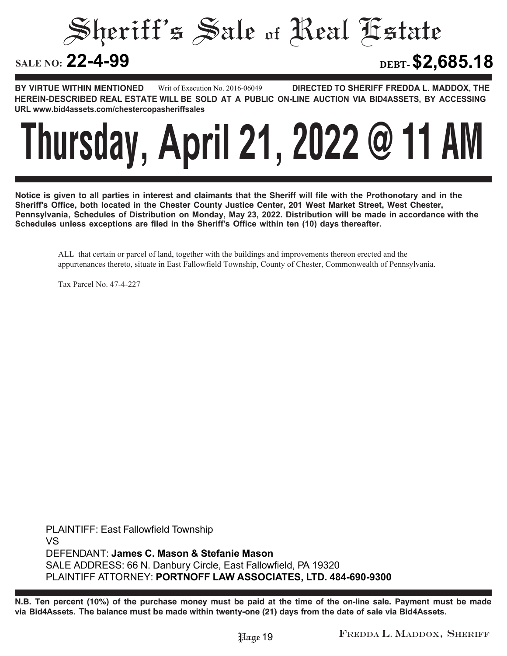Sheriff's Sale of Real Estate

**22-4-99 DEBT-\$2,685.18**

**BY VIRTUE WITHIN MENTIONED DIRECTED TO SHERIFF FREDDA L. MADDOX, THE HEREIN-DESCRIBED REAL ESTATE WILL BE SOLD AT A PUBLIC ON-LINE AUCTION VIA BID4ASSETS, BY ACCESSING URL www.bid4assets.com/chestercopasheriffsales Writ of Execution No. 2016-06049**



**Notice is given to all parties in interest and claimants that the Sheriff will file with the Prothonotary and in the Sheriff's Office, both located in the Chester County Justice Center, 201 West Market Street, West Chester, Pennsylvania, Schedules of Distribution on Monday, May 23, 2022. Distribution will be made in accordance with the Schedules unless exceptions are filed in the Sheriff's Office within ten (10) days thereafter.**

ALL that certain or parcel of land, together with the buildings and improvements thereon erected and the appurtenances thereto, situate in East Fallowfield Township, County of Chester, Commonwealth of Pennsylvania.

Tax Parcel No. 47-4-227

**PLAINTIFF: East Fallowfield Township VS DEFENDANT: James C. Mason & Stefanie Mason SALE ADDRESS: 66 N. Danbury Circle, East Fallowfield, PA 19320 PLAINTIFF ATTORNEY: PORTNOFF LAW ASSOCIATES, LTD. 484-690-9300**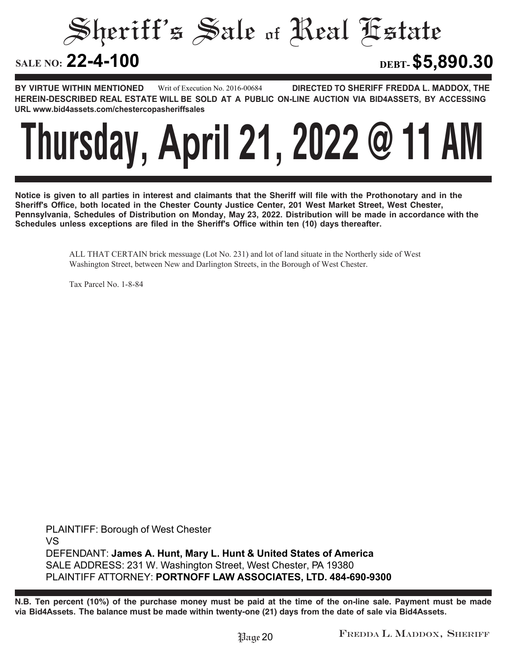Sheriff's Sale of Real Estate

**22-4-100 DEBT-\$5,890.30**

**BY VIRTUE WITHIN MENTIONED DIRECTED TO SHERIFF FREDDA L. MADDOX, THE HEREIN-DESCRIBED REAL ESTATE WILL BE SOLD AT A PUBLIC ON-LINE AUCTION VIA BID4ASSETS, BY ACCESSING URL www.bid4assets.com/chestercopasheriffsales Writ of Execution No. 2016-00684**



**Notice is given to all parties in interest and claimants that the Sheriff will file with the Prothonotary and in the Sheriff's Office, both located in the Chester County Justice Center, 201 West Market Street, West Chester, Pennsylvania, Schedules of Distribution on Monday, May 23, 2022. Distribution will be made in accordance with the Schedules unless exceptions are filed in the Sheriff's Office within ten (10) days thereafter.**

> ALL THAT CERTAIN brick messuage (Lot No. 231) and lot of land situate in the Northerly side of West Washington Street, between New and Darlington Streets, in the Borough of West Chester.

Tax Parcel No. 1-8-84

**PLAINTIFF: Borough of West Chester VS DEFENDANT: James A. Hunt, Mary L. Hunt & United States of America SALE ADDRESS: 231 W. Washington Street, West Chester, PA 19380 PLAINTIFF ATTORNEY: PORTNOFF LAW ASSOCIATES, LTD. 484-690-9300**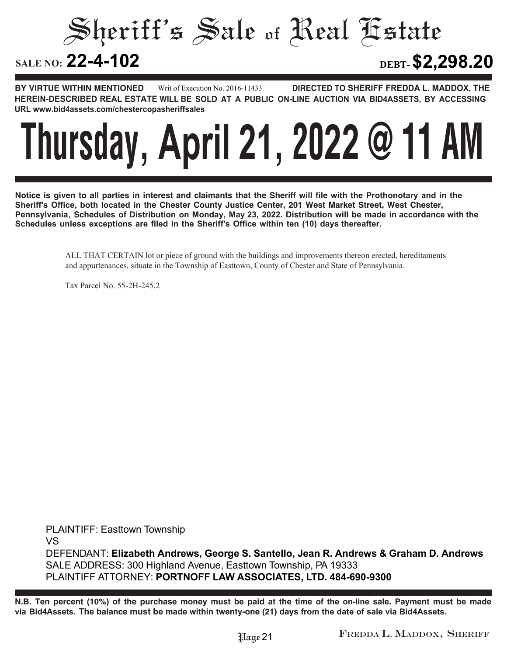Sheriff's Sale of Real Estate

**22-4-102 DEBT-\$2,298.20**

**BY VIRTUE WITHIN MENTIONED DIRECTED TO SHERIFF FREDDA L. MADDOX, THE HEREIN-DESCRIBED REAL ESTATE WILL BE SOLD AT A PUBLIC ON-LINE AUCTION VIA BID4ASSETS, BY ACCESSING URL www.bid4assets.com/chestercopasheriffsales Writ of Execution No. 2016-11433**



**Notice is given to all parties in interest and claimants that the Sheriff will file with the Prothonotary and in the Sheriff's Office, both located in the Chester County Justice Center, 201 West Market Street, West Chester, Pennsylvania, Schedules of Distribution on Monday, May 23, 2022. Distribution will be made in accordance with the Schedules unless exceptions are filed in the Sheriff's Office within ten (10) days thereafter.**

> ALL THAT CERTAIN lot or piece of ground with the buildings and improvements thereon erected, hereditaments and appurtenances, situate in the Township of Easttown, County of Chester and State of Pennsylvania.

Tax Parcel No. 55-2H-245.2

**PLAINTIFF: Easttown Township VS DEFENDANT: Elizabeth Andrews, George S. Santello, Jean R. Andrews & Graham D. Andrews SALE ADDRESS: 300 Highland Avenue, Easttown Township, PA 19333 PLAINTIFF ATTORNEY: PORTNOFF LAW ASSOCIATES, LTD. 484-690-9300**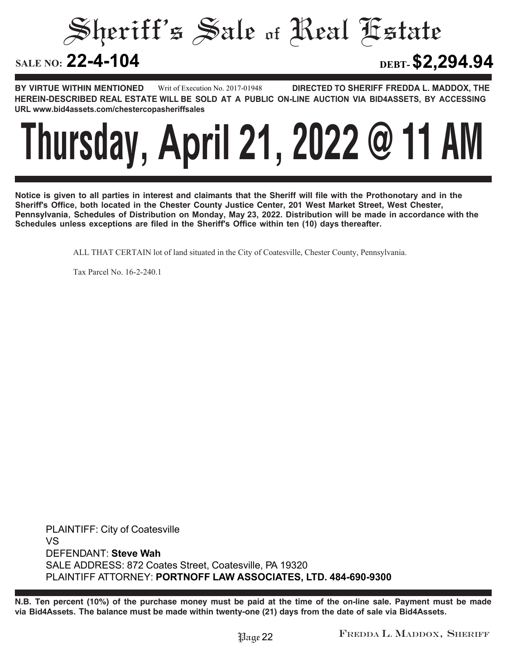Sheriff's Sale of Real Estate

**22-4-104 DEBT-\$2,294.94**

**BY VIRTUE WITHIN MENTIONED DIRECTED TO SHERIFF FREDDA L. MADDOX, THE HEREIN-DESCRIBED REAL ESTATE WILL BE SOLD AT A PUBLIC ON-LINE AUCTION VIA BID4ASSETS, BY ACCESSING URL www.bid4assets.com/chestercopasheriffsales Writ of Execution No. 2017-01948**



**Notice is given to all parties in interest and claimants that the Sheriff will file with the Prothonotary and in the Sheriff's Office, both located in the Chester County Justice Center, 201 West Market Street, West Chester, Pennsylvania, Schedules of Distribution on Monday, May 23, 2022. Distribution will be made in accordance with the Schedules unless exceptions are filed in the Sheriff's Office within ten (10) days thereafter.**

ALL THAT CERTAIN lot of land situated in the City of Coatesville, Chester County, Pennsylvania.

Tax Parcel No. 16-2-240.1

**PLAINTIFF: City of Coatesville VS DEFENDANT: Steve Wah SALE ADDRESS: 872 Coates Street, Coatesville, PA 19320 PLAINTIFF ATTORNEY: PORTNOFF LAW ASSOCIATES, LTD. 484-690-9300**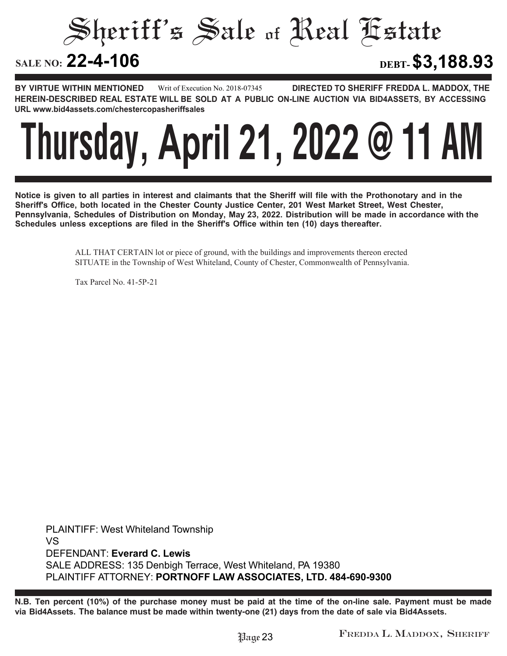Sheriff's Sale of Real Estate

**22-4-106 DEBT-\$3,188.93**

**BY VIRTUE WITHIN MENTIONED DIRECTED TO SHERIFF FREDDA L. MADDOX, THE HEREIN-DESCRIBED REAL ESTATE WILL BE SOLD AT A PUBLIC ON-LINE AUCTION VIA BID4ASSETS, BY ACCESSING URL www.bid4assets.com/chestercopasheriffsales Writ of Execution No. 2018-07345**



**Notice is given to all parties in interest and claimants that the Sheriff will file with the Prothonotary and in the Sheriff's Office, both located in the Chester County Justice Center, 201 West Market Street, West Chester, Pennsylvania, Schedules of Distribution on Monday, May 23, 2022. Distribution will be made in accordance with the Schedules unless exceptions are filed in the Sheriff's Office within ten (10) days thereafter.**

> ALL THAT CERTAIN lot or piece of ground, with the buildings and improvements thereon erected SITUATE in the Township of West Whiteland, County of Chester, Commonwealth of Pennsylvania.

Tax Parcel No. 41-5P-21

**PLAINTIFF: West Whiteland Township VS DEFENDANT: Everard C. Lewis SALE ADDRESS: 135 Denbigh Terrace, West Whiteland, PA 19380 PLAINTIFF ATTORNEY: PORTNOFF LAW ASSOCIATES, LTD. 484-690-9300**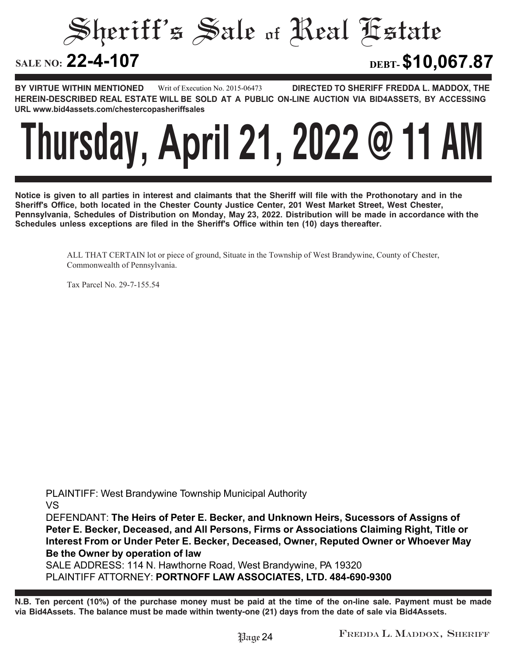Sheriff's Sale of Real Estate SALE NO: 22-4-107 **22-4-107 DEBT-\$10,067.87**

**BY VIRTUE WITHIN MENTIONED DIRECTED TO SHERIFF FREDDA L. MADDOX, THE HEREIN-DESCRIBED REAL ESTATE WILL BE SOLD AT A PUBLIC ON-LINE AUCTION VIA BID4ASSETS, BY ACCESSING URL www.bid4assets.com/chestercopasheriffsales Writ of Execution No. 2015-06473**



**Notice is given to all parties in interest and claimants that the Sheriff will file with the Prothonotary and in the Sheriff's Office, both located in the Chester County Justice Center, 201 West Market Street, West Chester, Pennsylvania, Schedules of Distribution on Monday, May 23, 2022. Distribution will be made in accordance with the Schedules unless exceptions are filed in the Sheriff's Office within ten (10) days thereafter.**

> ALL THAT CERTAIN lot or piece of ground, Situate in the Township of West Brandywine, County of Chester, Commonwealth of Pennsylvania.

Tax Parcel No. 29-7-155.54

**PLAINTIFF: West Brandywine Township Municipal Authority VS**

**DEFENDANT: The Heirs of Peter E. Becker, and Unknown Heirs, Sucessors of Assigns of Peter E. Becker, Deceased, and All Persons, Firms or Associations Claiming Right, Title or Interest From or Under Peter E. Becker, Deceased, Owner, Reputed Owner or Whoever May Be the Owner by operation of law**

**SALE ADDRESS: 114 N. Hawthorne Road, West Brandywine, PA 19320 PLAINTIFF ATTORNEY: PORTNOFF LAW ASSOCIATES, LTD. 484-690-9300**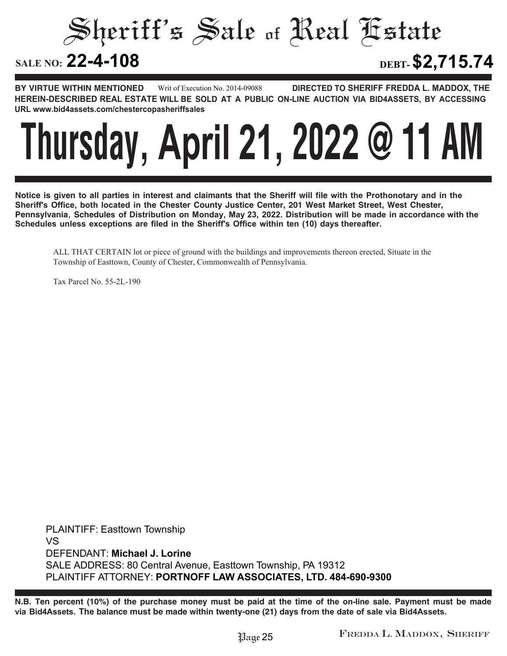Sheriff's Sale of Real Estate

**22-4-108 DEBT-\$2,715.74**

**BY VIRTUE WITHIN MENTIONED DIRECTED TO SHERIFF FREDDA L. MADDOX, THE HEREIN-DESCRIBED REAL ESTATE WILL BE SOLD AT A PUBLIC ON-LINE AUCTION VIA BID4ASSETS, BY ACCESSING URL www.bid4assets.com/chestercopasheriffsales Writ of Execution No. 2014-09088**



**Notice is given to all parties in interest and claimants that the Sheriff will file with the Prothonotary and in the Sheriff's Office, both located in the Chester County Justice Center, 201 West Market Street, West Chester, Pennsylvania, Schedules of Distribution on Monday, May 23, 2022. Distribution will be made in accordance with the Schedules unless exceptions are filed in the Sheriff's Office within ten (10) days thereafter.**

ALL THAT CERTAIN lot or piece of ground with the buildings and improvements thereon erected, Situate in the Township of Easttown, County of Chester, Commonwealth of Pennsylvania.

Tax Parcel No. 55-2L-190

**PLAINTIFF: Easttown Township VS DEFENDANT: Michael J. Lorine SALE ADDRESS: 80 Central Avenue, Easttown Township, PA 19312 PLAINTIFF ATTORNEY: PORTNOFF LAW ASSOCIATES, LTD. 484-690-9300**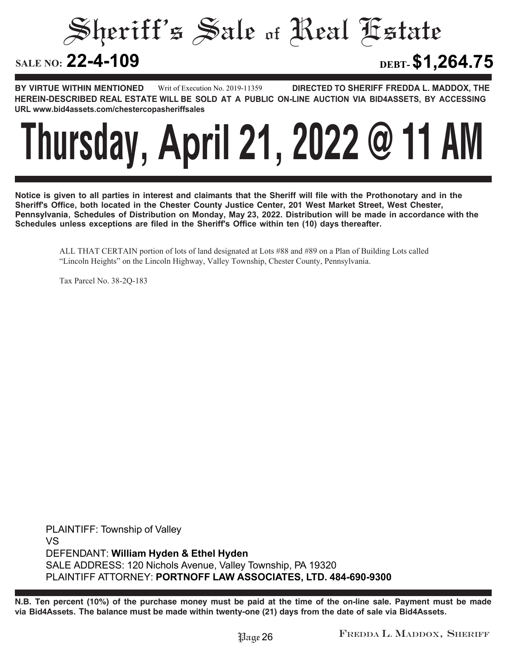Sheriff's Sale of Real Estate

**22-4-109 DEBT-\$1,264.75**

**BY VIRTUE WITHIN MENTIONED DIRECTED TO SHERIFF FREDDA L. MADDOX, THE HEREIN-DESCRIBED REAL ESTATE WILL BE SOLD AT A PUBLIC ON-LINE AUCTION VIA BID4ASSETS, BY ACCESSING URL www.bid4assets.com/chestercopasheriffsales Writ of Execution No. 2019-11359**



**Notice is given to all parties in interest and claimants that the Sheriff will file with the Prothonotary and in the Sheriff's Office, both located in the Chester County Justice Center, 201 West Market Street, West Chester, Pennsylvania, Schedules of Distribution on Monday, May 23, 2022. Distribution will be made in accordance with the Schedules unless exceptions are filed in the Sheriff's Office within ten (10) days thereafter.**

ALL THAT CERTAIN portion of lots of land designated at Lots #88 and #89 on a Plan of Building Lots called "Lincoln Heights" on the Lincoln Highway, Valley Township, Chester County, Pennsylvania.

Tax Parcel No. 38-2Q-183

**PLAINTIFF: Township of Valley VS DEFENDANT: William Hyden & Ethel Hyden SALE ADDRESS: 120 Nichols Avenue, Valley Township, PA 19320 PLAINTIFF ATTORNEY: PORTNOFF LAW ASSOCIATES, LTD. 484-690-9300**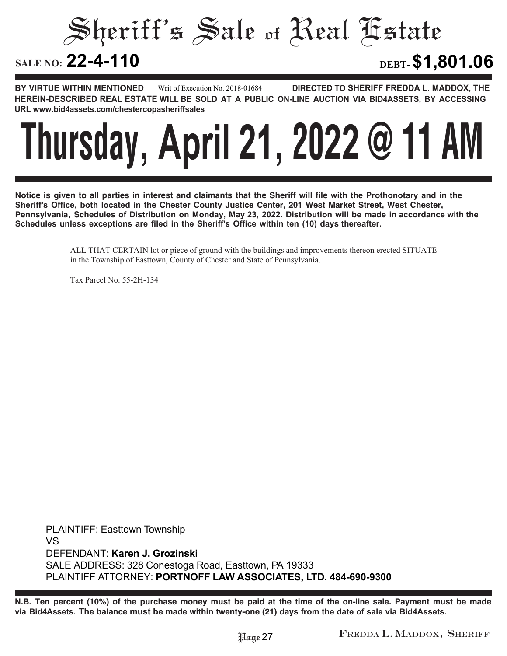Sheriff's Sale of Real Estate

**22-4-110 DEBT-\$1,801.06**

**BY VIRTUE WITHIN MENTIONED DIRECTED TO SHERIFF FREDDA L. MADDOX, THE HEREIN-DESCRIBED REAL ESTATE WILL BE SOLD AT A PUBLIC ON-LINE AUCTION VIA BID4ASSETS, BY ACCESSING URL www.bid4assets.com/chestercopasheriffsales Writ of Execution No. 2018-01684**



**Notice is given to all parties in interest and claimants that the Sheriff will file with the Prothonotary and in the Sheriff's Office, both located in the Chester County Justice Center, 201 West Market Street, West Chester, Pennsylvania, Schedules of Distribution on Monday, May 23, 2022. Distribution will be made in accordance with the Schedules unless exceptions are filed in the Sheriff's Office within ten (10) days thereafter.**

> ALL THAT CERTAIN lot or piece of ground with the buildings and improvements thereon erected SITUATE in the Township of Easttown, County of Chester and State of Pennsylvania.

Tax Parcel No. 55-2H-134

**PLAINTIFF: Easttown Township VS DEFENDANT: Karen J. Grozinski SALE ADDRESS: 328 Conestoga Road, Easttown, PA 19333 PLAINTIFF ATTORNEY: PORTNOFF LAW ASSOCIATES, LTD. 484-690-9300**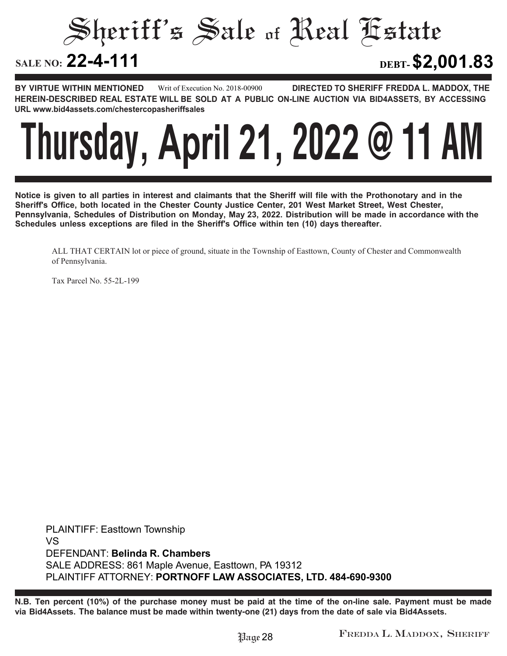Sheriff's Sale of Real Estate SALE NO: 22-4-111 **22-4-111 DEBT-\$2,001.83**

**BY VIRTUE WITHIN MENTIONED DIRECTED TO SHERIFF FREDDA L. MADDOX, THE HEREIN-DESCRIBED REAL ESTATE WILL BE SOLD AT A PUBLIC ON-LINE AUCTION VIA BID4ASSETS, BY ACCESSING URL www.bid4assets.com/chestercopasheriffsales Writ of Execution No. 2018-00900**



**Notice is given to all parties in interest and claimants that the Sheriff will file with the Prothonotary and in the Sheriff's Office, both located in the Chester County Justice Center, 201 West Market Street, West Chester, Pennsylvania, Schedules of Distribution on Monday, May 23, 2022. Distribution will be made in accordance with the Schedules unless exceptions are filed in the Sheriff's Office within ten (10) days thereafter.**

ALL THAT CERTAIN lot or piece of ground, situate in the Township of Easttown, County of Chester and Commonwealth of Pennsylvania.

Tax Parcel No. 55-2L-199

**PLAINTIFF: Easttown Township VS DEFENDANT: Belinda R. Chambers SALE ADDRESS: 861 Maple Avenue, Easttown, PA 19312 PLAINTIFF ATTORNEY: PORTNOFF LAW ASSOCIATES, LTD. 484-690-9300**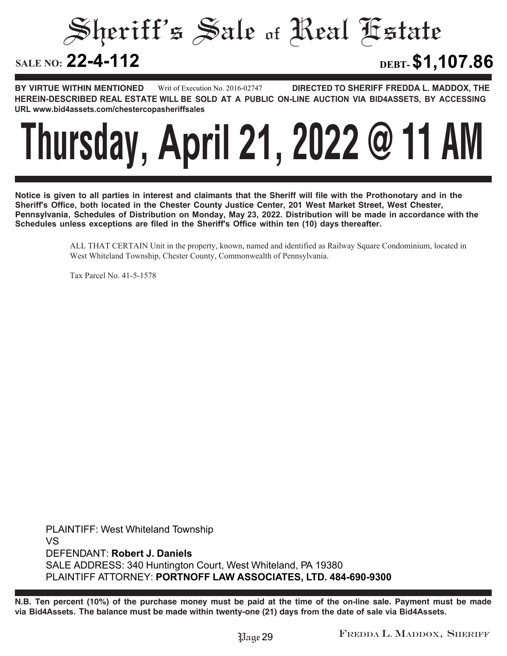Sheriff's Sale of Real Estate

**22-4-112 DEBT-\$1,107.86**

**BY VIRTUE WITHIN MENTIONED DIRECTED TO SHERIFF FREDDA L. MADDOX, THE HEREIN-DESCRIBED REAL ESTATE WILL BE SOLD AT A PUBLIC ON-LINE AUCTION VIA BID4ASSETS, BY ACCESSING URL www.bid4assets.com/chestercopasheriffsales Writ of Execution No. 2016-02747**



**Notice is given to all parties in interest and claimants that the Sheriff will file with the Prothonotary and in the Sheriff's Office, both located in the Chester County Justice Center, 201 West Market Street, West Chester, Pennsylvania, Schedules of Distribution on Monday, May 23, 2022. Distribution will be made in accordance with the Schedules unless exceptions are filed in the Sheriff's Office within ten (10) days thereafter.**

> ALL THAT CERTAIN Unit in the property, known, named and identified as Railway Square Condominium, located in West Whiteland Township, Chester County, Commonwealth of Pennsylvania.

Tax Parcel No. 41-5-1578

**PLAINTIFF: West Whiteland Township VS DEFENDANT: Robert J. Daniels SALE ADDRESS: 340 Huntington Court, West Whiteland, PA 19380 PLAINTIFF ATTORNEY: PORTNOFF LAW ASSOCIATES, LTD. 484-690-9300**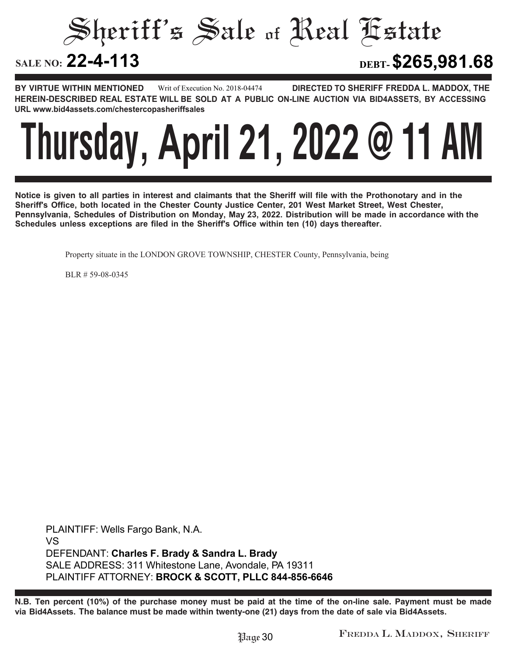Sheriff's Sale of Real Estate

**22-4-113 DEBT-\$265,981.68**

**BY VIRTUE WITHIN MENTIONED DIRECTED TO SHERIFF FREDDA L. MADDOX, THE HEREIN-DESCRIBED REAL ESTATE WILL BE SOLD AT A PUBLIC ON-LINE AUCTION VIA BID4ASSETS, BY ACCESSING URL www.bid4assets.com/chestercopasheriffsales Writ of Execution No. 2018-04474**



**Notice is given to all parties in interest and claimants that the Sheriff will file with the Prothonotary and in the Sheriff's Office, both located in the Chester County Justice Center, 201 West Market Street, West Chester, Pennsylvania, Schedules of Distribution on Monday, May 23, 2022. Distribution will be made in accordance with the Schedules unless exceptions are filed in the Sheriff's Office within ten (10) days thereafter.**

Property situate in the LONDON GROVE TOWNSHIP, CHESTER County, Pennsylvania, being

BLR # 59-08-0345

**PLAINTIFF: Wells Fargo Bank, N.A. VS DEFENDANT: Charles F. Brady & Sandra L. Brady SALE ADDRESS: 311 Whitestone Lane, Avondale, PA 19311 PLAINTIFF ATTORNEY: BROCK & SCOTT, PLLC 844-856-6646**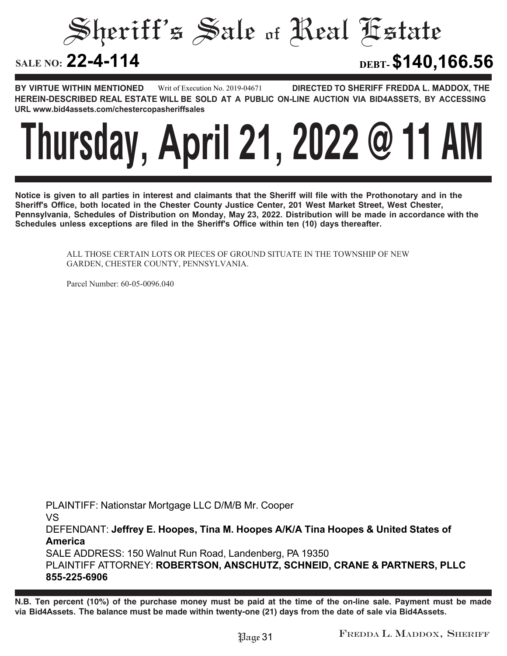Sheriff's Sale of Real Estate

**22-4-114 DEBT-\$140,166.56**

**BY VIRTUE WITHIN MENTIONED DIRECTED TO SHERIFF FREDDA L. MADDOX, THE HEREIN-DESCRIBED REAL ESTATE WILL BE SOLD AT A PUBLIC ON-LINE AUCTION VIA BID4ASSETS, BY ACCESSING URL www.bid4assets.com/chestercopasheriffsales Writ of Execution No. 2019-04671**



**Notice is given to all parties in interest and claimants that the Sheriff will file with the Prothonotary and in the Sheriff's Office, both located in the Chester County Justice Center, 201 West Market Street, West Chester, Pennsylvania, Schedules of Distribution on Monday, May 23, 2022. Distribution will be made in accordance with the Schedules unless exceptions are filed in the Sheriff's Office within ten (10) days thereafter.**

> ALL THOSE CERTAIN LOTS OR PIECES OF GROUND SITUATE IN THE TOWNSHIP OF NEW GARDEN, CHESTER COUNTY, PENNSYLVANIA.

Parcel Number: 60-05-0096.040

**PLAINTIFF: Nationstar Mortgage LLC D/M/B Mr. Cooper VS DEFENDANT: Jeffrey E. Hoopes, Tina M. Hoopes A/K/A Tina Hoopes & United States of America SALE ADDRESS: 150 Walnut Run Road, Landenberg, PA 19350 PLAINTIFF ATTORNEY: ROBERTSON, ANSCHUTZ, SCHNEID, CRANE & PARTNERS, PLLC 855-225-6906**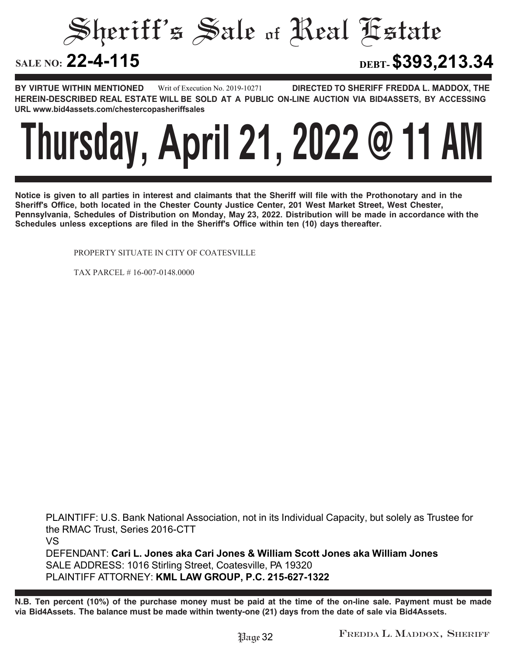Sheriff's Sale of Real Estate

**22-4-115 DEBT-\$393,213.34**

**BY VIRTUE WITHIN MENTIONED DIRECTED TO SHERIFF FREDDA L. MADDOX, THE HEREIN-DESCRIBED REAL ESTATE WILL BE SOLD AT A PUBLIC ON-LINE AUCTION VIA BID4ASSETS, BY ACCESSING URL www.bid4assets.com/chestercopasheriffsales Writ of Execution No. 2019-10271**

### **Thursday, April 21, 2022 @ 11 AM**

**Notice is given to all parties in interest and claimants that the Sheriff will file with the Prothonotary and in the Sheriff's Office, both located in the Chester County Justice Center, 201 West Market Street, West Chester, Pennsylvania, Schedules of Distribution on Monday, May 23, 2022. Distribution will be made in accordance with the Schedules unless exceptions are filed in the Sheriff's Office within ten (10) days thereafter.**

PROPERTY SITUATE IN CITY OF COATESVILLE

TAX PARCEL # 16-007-0148.0000

**PLAINTIFF: U.S. Bank National Association, not in its Individual Capacity, but solely as Trustee for the RMAC Trust, Series 2016-CTT VS DEFENDANT: Cari L. Jones aka Cari Jones & William Scott Jones aka William Jones SALE ADDRESS: 1016 Stirling Street, Coatesville, PA 19320 PLAINTIFF ATTORNEY: KML LAW GROUP, P.C. 215-627-1322**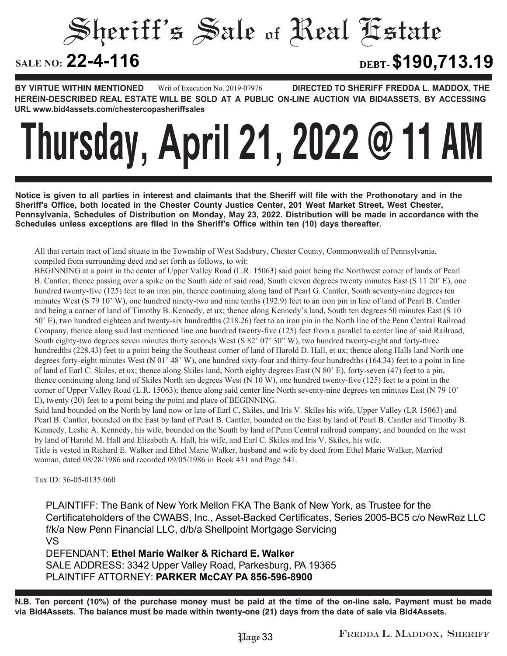Sheriff's Sale of Real Estate **SALE NO: 22-4-116 22-4-116 DEBT-\$190,713.19**

**BY VIRTUE WITHIN MENTIONED DIRECTED TO SHERIFF FREDDA L. MADDOX, THE HEREIN-DESCRIBED REAL ESTATE WILL BE SOLD AT A PUBLIC ON-LINE AUCTION VIA BID4ASSETS, BY ACCESSING URL www.bid4assets.com/chestercopasheriffsales Writ of Execution No. 2019-07976**

# **Thursday, April 21, 2022 @ 11 AM**

**Notice is given to all parties in interest and claimants that the Sheriff will file with the Prothonotary and in the Sheriff's Office, both located in the Chester County Justice Center, 201 West Market Street, West Chester, Pennsylvania, Schedules of Distribution on Monday, May 23, 2022. Distribution will be made in accordance with the Schedules unless exceptions are filed in the Sheriff's Office within ten (10) days thereafter.**

All that certain tract of land situate in the Township of West Sadsbury, Chester County, Commonwealth of Pennsylvania, compiled from surrounding deed and set forth as follows, to wit:

BEGINNING at a point in the center of Upper Valley Road (L.R. 15063) said point being the Northwest corner of lands of Pearl B. Cantler, thence passing over a spike on the South side of said road, South eleven degrees twenty minutes East (S 11 20' E), one hundred twenty-five (125) feet to an iron pin, thence continuing along land of Pearl G. Cantler, South seventy-nine degrees ten minutes West (S 79 10' W), one hundred ninety-two and nine tenths (192.9) feet to an iron pin in line of land of Pearl B. Cantler and being a corner of land of Timothy B. Kennedy, et ux; thence along Kennedy's land, South ten degrees 50 minutes East (S 10 50' E), two hundred eighteen and twenty-six hundredths (218.26) feet to an iron pin in the North line of the Penn Central Railroad Company, thence along said last mentioned line one hundred twenty-five (125) feet from a parallel to center line of said Railroad, South eighty-two degrees seven minutes thirty seconds West (S 82' 07' 30" W), two hundred twenty-eight and forty-three hundredths (228.43) feet to a point being the Southeast corner of land of Harold D. Hall, et ux; thence along Halls land North one degrees forty-eight minutes West (N 01' 48' W), one hundred sixty-four and thirty-four hundredths (164.34) feet to a point in line of land of Earl C. Skiles, et ux; thence along Skiles land, North eighty degrees East (N 80' E), forty-seven (47) feet to a pin, thence continuing along land of Skiles North ten degrees West (N 10 W), one hundred twenty-five (125) feet to a point in the corner of Upper Valley Road (L.R. 15063); thence along said center line North seventy-nine degrees ten minutes East (N 79 10' E), twenty (20) feet to a point being the point and place of BEGINNING.

Said land bounded on the North by land now or late of Earl C, Skiles, and Iris V. Skiles his wife, Upper Valley (LR 15063) and Pearl B. Cantler, bounded on the East by land of Pearl B. Cantler, bounded on the East by land of Pearl B. Cantler and Timothy B. Kennedy, Leslie A. Kennedy, his wife, bounded on the South by land of Penn Central railroad company; and bounded on the west by land of Harold M. Hall and Elizabeth A. Hall, his wife, and Earl C. Skiles and Iris V. Skiles, his wife.

Title is vested in Richard E. Walker and Ethel Marie Walker, husband and wife by deed from Ethel Marie Walker, Married woman, dated 08/28/1986 and recorded 09/05/1986 in Book 431 and Page 541.

Tax ID: 36-05-0135.060

**PLAINTIFF: The Bank of New York Mellon FKA The Bank of New York, as Trustee for the Certificateholders of the CWABS, Inc., Asset-Backed Certificates, Series 2005-BC5 c/o NewRez LLC f/k/a New Penn Financial LLC, d/b/a Shellpoint Mortgage Servicing VS DEFENDANT: Ethel Marie Walker & Richard E. Walker SALE ADDRESS: 3342 Upper Valley Road, Parkesburg, PA 19365**

**PLAINTIFF ATTORNEY: PARKER McCAY PA 856-596-8900**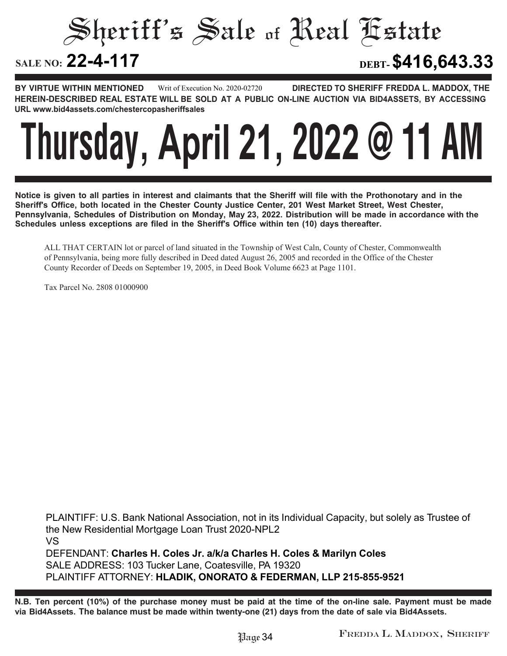Sheriff's Sale of Real Estate SALE NO: 22-4-117 **22-4-117 DEBT-\$416,643.33**

**BY VIRTUE WITHIN MENTIONED DIRECTED TO SHERIFF FREDDA L. MADDOX, THE HEREIN-DESCRIBED REAL ESTATE WILL BE SOLD AT A PUBLIC ON-LINE AUCTION VIA BID4ASSETS, BY ACCESSING URL www.bid4assets.com/chestercopasheriffsales Writ of Execution No. 2020-02720**

# **Thursday, April 21, 2022 @ 11 AM**

**Notice is given to all parties in interest and claimants that the Sheriff will file with the Prothonotary and in the Sheriff's Office, both located in the Chester County Justice Center, 201 West Market Street, West Chester, Pennsylvania, Schedules of Distribution on Monday, May 23, 2022. Distribution will be made in accordance with the Schedules unless exceptions are filed in the Sheriff's Office within ten (10) days thereafter.**

ALL THAT CERTAIN lot or parcel of land situated in the Township of West Caln, County of Chester, Commonwealth of Pennsylvania, being more fully described in Deed dated August 26, 2005 and recorded in the Office of the Chester County Recorder of Deeds on September 19, 2005, in Deed Book Volume 6623 at Page 1101.

Tax Parcel No. 2808 01000900

**PLAINTIFF: U.S. Bank National Association, not in its Individual Capacity, but solely as Trustee of the New Residential Mortgage Loan Trust 2020-NPL2 VS DEFENDANT: Charles H. Coles Jr. a/k/a Charles H. Coles & Marilyn Coles SALE ADDRESS: 103 Tucker Lane, Coatesville, PA 19320 PLAINTIFF ATTORNEY: HLADIK, ONORATO & FEDERMAN, LLP 215-855-9521**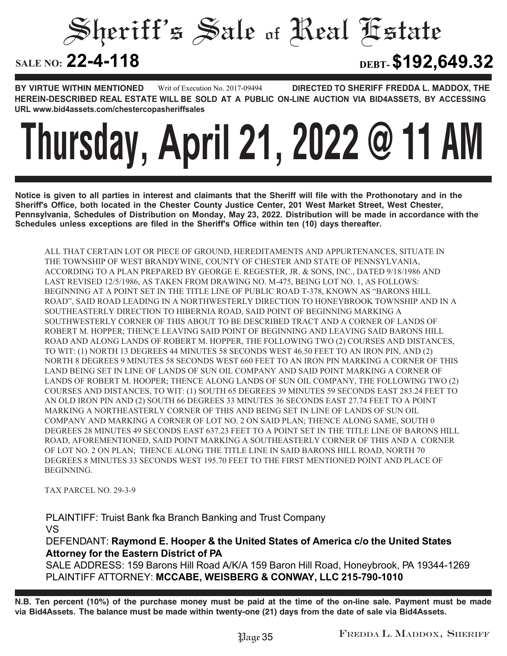Sheriff's Sale of Real Estate

**22-4-118 DEBT-\$192,649.32**

**BY VIRTUE WITHIN MENTIONED DIRECTED TO SHERIFF FREDDA L. MADDOX, THE HEREIN-DESCRIBED REAL ESTATE WILL BE SOLD AT A PUBLIC ON-LINE AUCTION VIA BID4ASSETS, BY ACCESSING URL www.bid4assets.com/chestercopasheriffsales Writ of Execution No. 2017-09494**

# **Thursday, April 21, 2022 @ 11 AM**

**Notice is given to all parties in interest and claimants that the Sheriff will file with the Prothonotary and in the Sheriff's Office, both located in the Chester County Justice Center, 201 West Market Street, West Chester, Pennsylvania, Schedules of Distribution on Monday, May 23, 2022. Distribution will be made in accordance with the Schedules unless exceptions are filed in the Sheriff's Office within ten (10) days thereafter.**

ALL THAT CERTAIN LOT OR PIECE OF GROUND, HEREDITAMENTS AND APPURTENANCES, SITUATE IN THE TOWNSHIP OF WEST BRANDYWINE, COUNTY OF CHESTER AND STATE OF PENNSYLVANIA, ACCORDING TO A PLAN PREPARED BY GEORGE E. REGESTER, JR. & SONS, INC., DATED 9/18/1986 AND LAST REVISED 12/5/1986, AS TAKEN FROM DRAWING NO. M-475, BEING LOT NO. 1, AS FOLLOWS: BEGINNING AT A POINT SET IN THE TITLE LINE OF PUBLIC ROAD T-378, KNOWN AS "BARONS HILL ROAD", SAID ROAD LEADING IN A NORTHWESTERLY DIRECTION TO HONEYBROOK TOWNSHIP AND IN A SOUTHEASTERLY DIRECTION TO HIBERNIA ROAD, SAID POINT OF BEGINNING MARKING A SOUTHWESTERLY CORNER OF THIS ABOUT TO BE DESCRIBED TRACT AND A CORNER OF LANDS OF ROBERT M. HOPPER; THENCE LEAVING SAID POINT OF BEGINNING AND LEAVING SAID BARONS HILL ROAD AND ALONG LANDS OF ROBERT M. HOPPER, THE FOLLOWING TWO (2) COURSES AND DISTANCES, TO WIT: (1) NORTH 13 DEGREES 44 MINUTES 58 SECONDS WEST 46.50 FEET TO AN IRON PIN, AND (2) NORTH 8 DEGREES 9 MINUTES 58 SECONDS WEST 660 FEET TO AN IRON PIN MARKING A CORNER OF THIS LAND BEING SET IN LINE OF LANDS OF SUN OIL COMPANY AND SAID POINT MARKING A CORNER OF LANDS OF ROBERT M. HOOPER; THENCE ALONG LANDS OF SUN OIL COMPANY, THE FOLLOWING TWO (2) COURSES AND DISTANCES, TO WIT: (1) SOUTH 65 DEGREES 39 MINUTES 59 SECONDS EAST 283.24 FEET TO AN OLD IRON PIN AND (2) SOUTH 66 DEGREES 33 MINUTES 36 SECONDS EAST 27.74 FEET TO A POINT MARKING A NORTHEASTERLY CORNER OF THIS AND BEING SET IN LINE OF LANDS OF SUN OIL COMPANY AND MARKING A CORNER OF LOT NO. 2 ON SAID PLAN; THENCE ALONG SAME, SOUTH 0 DEGREES 28 MINUTES 49 SECONDS EAST 637.23 FEET TO A POINT SET IN THE TITLE LINE OF BARONS HILL ROAD, AFOREMENTIONED, SAID POINT MARKING A SOUTHEASTERLY CORNER OF THIS AND A CORNER OF LOT NO. 2 ON PLAN; THENCE ALONG THE TITLE LINE IN SAID BARONS HILL ROAD, NORTH 70 DEGREES 8 MINUTES 33 SECONDS WEST 195.70 FEET TO THE FIRST MENTIONED POINT AND PLACE OF BEGINNING.

TAX PARCEL NO. 29-3-9

**PLAINTIFF: Truist Bank fka Branch Banking and Trust Company VS DEFENDANT: Raymond E. Hooper & the United States of America c/o the United States Attorney for the Eastern District of PA**

**SALE ADDRESS: 159 Barons Hill Road A/K/A 159 Baron Hill Road, Honeybrook, PA 19344-1269 PLAINTIFF ATTORNEY: MCCABE, WEISBERG & CONWAY, LLC 215-790-1010**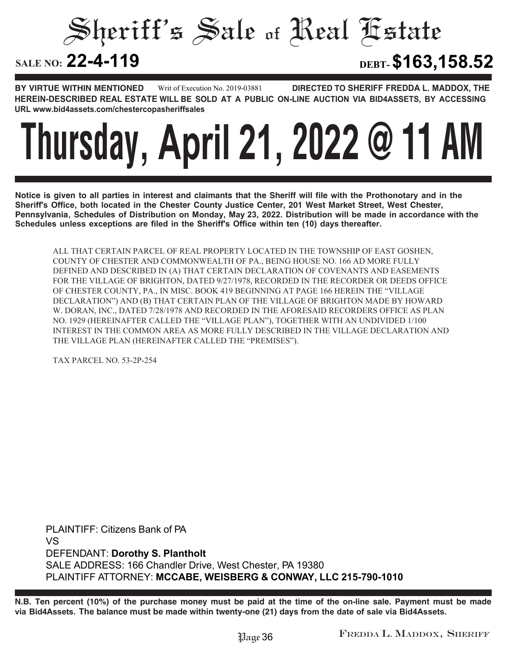Sheriff's Sale of Real Estate

**22-4-119 DEBT-\$163,158.52**

**BY VIRTUE WITHIN MENTIONED DIRECTED TO SHERIFF FREDDA L. MADDOX, THE HEREIN-DESCRIBED REAL ESTATE WILL BE SOLD AT A PUBLIC ON-LINE AUCTION VIA BID4ASSETS, BY ACCESSING URL www.bid4assets.com/chestercopasheriffsales Writ of Execution No. 2019-03881**

## **Thursday, April 21, 2022 @ 11 AM**

**Notice is given to all parties in interest and claimants that the Sheriff will file with the Prothonotary and in the Sheriff's Office, both located in the Chester County Justice Center, 201 West Market Street, West Chester, Pennsylvania, Schedules of Distribution on Monday, May 23, 2022. Distribution will be made in accordance with the Schedules unless exceptions are filed in the Sheriff's Office within ten (10) days thereafter.**

ALL THAT CERTAIN PARCEL OF REAL PROPERTY LOCATED IN THE TOWNSHIP OF EAST GOSHEN, COUNTY OF CHESTER AND COMMONWEALTH OF PA., BEING HOUSE NO. 166 AD MORE FULLY DEFINED AND DESCRIBED IN (A) THAT CERTAIN DECLARATION OF COVENANTS AND EASEMENTS FOR THE VILLAGE OF BRIGHTON, DATED 9/27/1978, RECORDED IN THE RECORDER OR DEEDS OFFICE OF CHESTER COUNTY, PA., IN MISC. BOOK 419 BEGINNING AT PAGE 166 HEREIN THE "VILLAGE DECLARATION") AND (B) THAT CERTAIN PLAN OF THE VILLAGE OF BRIGHTON MADE BY HOWARD W. DORAN, INC., DATED 7/28/1978 AND RECORDED IN THE AFORESAID RECORDERS OFFICE AS PLAN NO. 1929 (HEREINAFTER CALLED THE "VILLAGE PLAN"), TOGETHER WITH AN UNDIVIDED 1/100 INTEREST IN THE COMMON AREA AS MORE FULLY DESCRIBED IN THE VILLAGE DECLARATION AND THE VILLAGE PLAN (HEREINAFTER CALLED THE "PREMISES").

TAX PARCEL NO. 53-2P-254

**PLAINTIFF: Citizens Bank of PA VS DEFENDANT: Dorothy S. Plantholt SALE ADDRESS: 166 Chandler Drive, West Chester, PA 19380 PLAINTIFF ATTORNEY: MCCABE, WEISBERG & CONWAY, LLC 215-790-1010**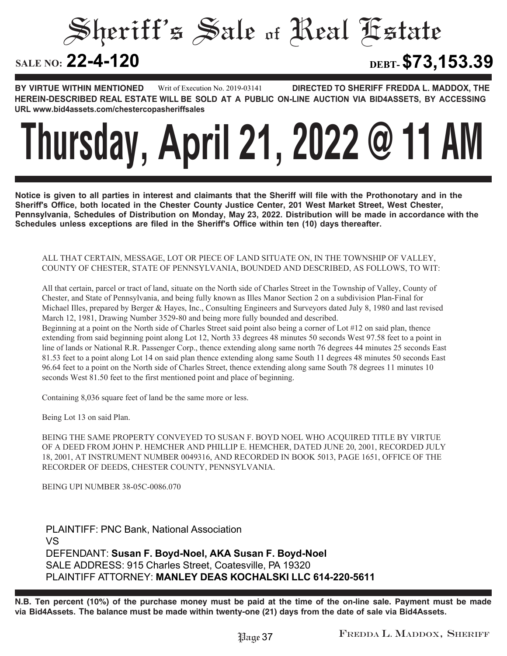Sheriff's Sale of Real Estate

**22-4-120 DEBT-\$73,153.39**

**BY VIRTUE WITHIN MENTIONED DIRECTED TO SHERIFF FREDDA L. MADDOX, THE HEREIN-DESCRIBED REAL ESTATE WILL BE SOLD AT A PUBLIC ON-LINE AUCTION VIA BID4ASSETS, BY ACCESSING URL www.bid4assets.com/chestercopasheriffsales Writ of Execution No. 2019-03141**

## **Thursday, April 21, 2022 @ 11 AM**

**Notice is given to all parties in interest and claimants that the Sheriff will file with the Prothonotary and in the Sheriff's Office, both located in the Chester County Justice Center, 201 West Market Street, West Chester, Pennsylvania, Schedules of Distribution on Monday, May 23, 2022. Distribution will be made in accordance with the Schedules unless exceptions are filed in the Sheriff's Office within ten (10) days thereafter.**

#### ALL THAT CERTAIN, MESSAGE, LOT OR PIECE OF LAND SITUATE ON, IN THE TOWNSHIP OF VALLEY, COUNTY OF CHESTER, STATE OF PENNSYLVANIA, BOUNDED AND DESCRIBED, AS FOLLOWS, TO WIT:

All that certain, parcel or tract of land, situate on the North side of Charles Street in the Township of Valley, County of Chester, and State of Pennsylvania, and being fully known as Illes Manor Section 2 on a subdivision Plan-Final for Michael Illes, prepared by Berger & Hayes, Inc., Consulting Engineers and Surveyors dated July 8, 1980 and last revised March 12, 1981, Drawing Number 3529-80 and being more fully bounded and described.

Beginning at a point on the North side of Charles Street said point also being a corner of Lot #12 on said plan, thence extending from said beginning point along Lot 12, North 33 degrees 48 minutes 50 seconds West 97.58 feet to a point in line of lands or National R.R. Passenger Corp., thence extending along same north 76 degrees 44 minutes 25 seconds East 81.53 feet to a point along Lot 14 on said plan thence extending along same South 11 degrees 48 minutes 50 seconds East 96.64 feet to a point on the North side of Charles Street, thence extending along same South 78 degrees 11 minutes 10 seconds West 81.50 feet to the first mentioned point and place of beginning.

Containing 8,036 square feet of land be the same more or less.

Being Lot 13 on said Plan.

BEING THE SAME PROPERTY CONVEYED TO SUSAN F. BOYD NOEL WHO ACQUIRED TITLE BY VIRTUE OF A DEED FROM JOHN P. HEMCHER AND PHILLIP E. HEMCHER, DATED JUNE 20, 2001, RECORDED JULY 18, 2001, AT INSTRUMENT NUMBER 0049316, AND RECORDED IN BOOK 5013, PAGE 1651, OFFICE OF THE RECORDER OF DEEDS, CHESTER COUNTY, PENNSYLVANIA.

BEING UPI NUMBER 38-05C-0086.070

**PLAINTIFF: PNC Bank, National Association VS DEFENDANT: Susan F. Boyd-Noel, AKA Susan F. Boyd-Noel SALE ADDRESS: 915 Charles Street, Coatesville, PA 19320 PLAINTIFF ATTORNEY: MANLEY DEAS KOCHALSKI LLC 614-220-5611**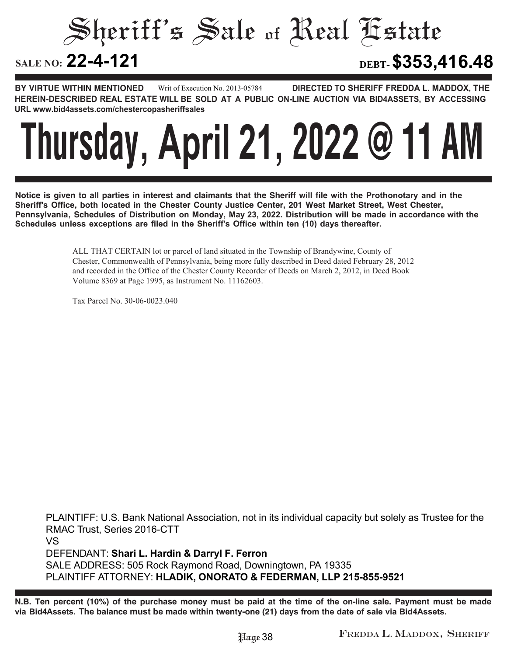Sheriff's Sale of Real Estate SALE NO: 22-4-121 **22-4-121 DEBT-\$353,416.48**

**BY VIRTUE WITHIN MENTIONED DIRECTED TO SHERIFF FREDDA L. MADDOX, THE HEREIN-DESCRIBED REAL ESTATE WILL BE SOLD AT A PUBLIC ON-LINE AUCTION VIA BID4ASSETS, BY ACCESSING URL www.bid4assets.com/chestercopasheriffsales Writ of Execution No. 2013-05784**

### **Thursday, April 21, 2022 @ 11 AM**

**Notice is given to all parties in interest and claimants that the Sheriff will file with the Prothonotary and in the Sheriff's Office, both located in the Chester County Justice Center, 201 West Market Street, West Chester, Pennsylvania, Schedules of Distribution on Monday, May 23, 2022. Distribution will be made in accordance with the Schedules unless exceptions are filed in the Sheriff's Office within ten (10) days thereafter.**

> ALL THAT CERTAIN lot or parcel of land situated in the Township of Brandywine, County of Chester, Commonwealth of Pennsylvania, being more fully described in Deed dated February 28, 2012 and recorded in the Office of the Chester County Recorder of Deeds on March 2, 2012, in Deed Book Volume 8369 at Page 1995, as Instrument No. 11162603.

Tax Parcel No. 30-06-0023.040

**PLAINTIFF: U.S. Bank National Association, not in its individual capacity but solely as Trustee for the RMAC Trust, Series 2016-CTT VS DEFENDANT: Shari L. Hardin & Darryl F. Ferron SALE ADDRESS: 505 Rock Raymond Road, Downingtown, PA 19335 PLAINTIFF ATTORNEY: HLADIK, ONORATO & FEDERMAN, LLP 215-855-9521**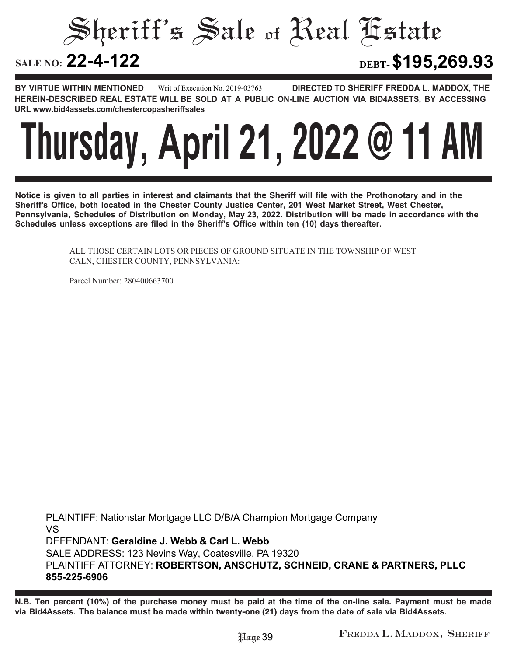Sheriff's Sale of Real Estate

**22-4-122 DEBT-\$195,269.93**

**BY VIRTUE WITHIN MENTIONED DIRECTED TO SHERIFF FREDDA L. MADDOX, THE HEREIN-DESCRIBED REAL ESTATE WILL BE SOLD AT A PUBLIC ON-LINE AUCTION VIA BID4ASSETS, BY ACCESSING URL www.bid4assets.com/chestercopasheriffsales Writ of Execution No. 2019-03763**



**Notice is given to all parties in interest and claimants that the Sheriff will file with the Prothonotary and in the Sheriff's Office, both located in the Chester County Justice Center, 201 West Market Street, West Chester, Pennsylvania, Schedules of Distribution on Monday, May 23, 2022. Distribution will be made in accordance with the Schedules unless exceptions are filed in the Sheriff's Office within ten (10) days thereafter.**

> ALL THOSE CERTAIN LOTS OR PIECES OF GROUND SITUATE IN THE TOWNSHIP OF WEST CALN, CHESTER COUNTY, PENNSYLVANIA:

Parcel Number: 280400663700

**PLAINTIFF: Nationstar Mortgage LLC D/B/A Champion Mortgage Company VS DEFENDANT: Geraldine J. Webb & Carl L. Webb SALE ADDRESS: 123 Nevins Way, Coatesville, PA 19320 PLAINTIFF ATTORNEY: ROBERTSON, ANSCHUTZ, SCHNEID, CRANE & PARTNERS, PLLC 855-225-6906**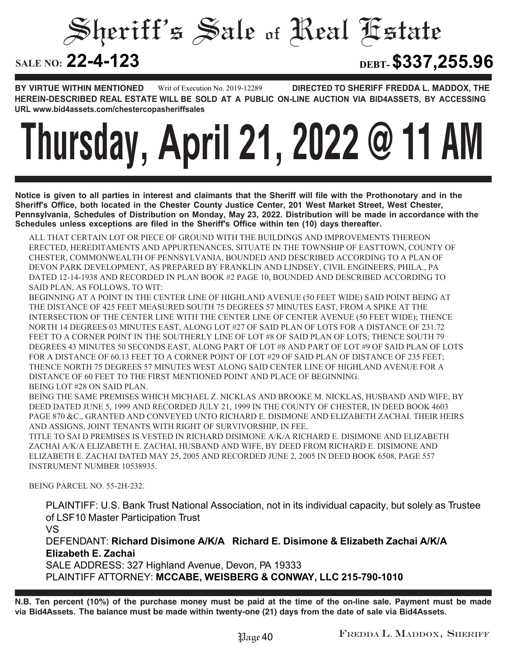Sheriff's Sale of Real Estate

**22-4-123 DEBT-\$337,255.96**

**BY VIRTUE WITHIN MENTIONED DIRECTED TO SHERIFF FREDDA L. MADDOX, THE HEREIN-DESCRIBED REAL ESTATE WILL BE SOLD AT A PUBLIC ON-LINE AUCTION VIA BID4ASSETS, BY ACCESSING URL www.bid4assets.com/chestercopasheriffsales Writ of Execution No. 2019-12289**

# **Thursday, April 21, 2022 @ 11 AM**

**Notice is given to all parties in interest and claimants that the Sheriff will file with the Prothonotary and in the Sheriff's Office, both located in the Chester County Justice Center, 201 West Market Street, West Chester, Pennsylvania, Schedules of Distribution on Monday, May 23, 2022. Distribution will be made in accordance with the Schedules unless exceptions are filed in the Sheriff's Office within ten (10) days thereafter.**

ALL THAT CERTAIN LOT OR PIECE OF GROUND WITH THE BUILDINGS AND IMPROVEMENTS THEREON ERECTED, HEREDITAMENTS AND APPURTENANCES, SITUATE IN THE TOWNSHIP OF EASTTOWN, COUNTY OF CHESTER, COMMONWEALTH OF PENNSYLVANIA, BOUNDED AND DESCRIBED ACCORDING TO A PLAN OF DEVON PARK DEVELOPMENT, AS PREPARED BY FRANKLIN AND LINDSEY, CIVIL ENGINEERS, PHILA., PA DATED 12-14-1938 AND RECORDED IN PLAN BOOK #2 PAGE 10, BOUNDED AND DESCRIBED ACCORDING TO SAID PLAN, AS FOLLOWS, TO WIT:

BEGINNING AT A POINT IN THE CENTER LINE OF HIGHLAND AVENUE (50 FEET WIDE) SAID POINT BEING AT THE DISTANCE OF 425 FEET MEASURED SOUTH 75 DEGREES 57 MINUTES EAST, FROM A SPIKE AT THE INTERSECTION OF THE CENTER LINE WITH THE CENTER LINE OF CENTER AVENUE (50 FEET WIDE); THENCE NORTH 14 DEGREES 03 MINUTES EAST, ALONG LOT #27 OF SAID PLAN OF LOTS FOR A DISTANCE OF 231.72 FEET TO A CORNER POINT IN THE SOUTHERLY LINE OF LOT #8 OF SAID PLAN OF LOTS; THENCE SOUTH 79 DEGREES 43 MINUTES 50 SECONDS EAST, ALONG PART OF LOT #8 AND PART OF LOT #9 OF SAID PLAN OF LOTS FOR A DISTANCE OF 60.13 FEET TO A CORNER POINT OF LOT #29 OF SAID PLAN OF DISTANCE OF 235 FEET: THENCE NORTH 75 DEGREES 57 MINUTES WEST ALONG SAID CENTER LINE OF HIGHLAND AVENUE FOR A DISTANCE OF 60 FEET TO THE FIRST MENTIONED POINT AND PLACE OF BEGINNING. BEING LOT #28 ON SAID PLAN.

BEING THE SAME PREMISES WHICH MICHAEL Z. NICKLAS AND BROOKE M. NICKLAS, HUSBAND AND WIFE, BY DEED DATED JUNE 5, 1999 AND RECORDED JULY 21, 1999 IN THE COUNTY OF CHESTER, IN DEED BOOK 4603 PAGE 870 &C., GRANTED AND CONVEYED UNTO RICHARD E. DISIMONE AND ELIZABETH ZACHAI. THEIR HEIRS AND ASSIGNS, JOINT TENANTS WITH RIGHT OF SURVIVORSHIP, IN FEE.

TITLE TO SAI D PREMISES IS VESTED IN RICHARD DISIMONE A/K/A RICHARD E. DISIMONE AND ELIZABETH ZACHAI A/K/A ELIZABETH E. ZACHAI, HUSBAND AND WIFE, BY DEED FROM RICHARD E. DISIMONE AND ELIZABETH E. ZACHAI DATED MAY 25, 2005 AND RECORDED JUNE 2, 2005 IN DEED BOOK 6508, PAGE 557 INSTRUMENT NUMBER 10538935.

BEING PARCEL NO. 55-2H-232.

**PLAINTIFF: U.S. Bank Trust National Association, not in its individual capacity, but solely as Trustee of LSF10 Master Participation Trust**

**VS**

**DEFENDANT: Richard Disimone A/K/A Richard E. Disimone & Elizabeth Zachai A/K/A Elizabeth E. Zachai**

**SALE ADDRESS: 327 Highland Avenue, Devon, PA 19333 PLAINTIFF ATTORNEY: MCCABE, WEISBERG & CONWAY, LLC 215-790-1010**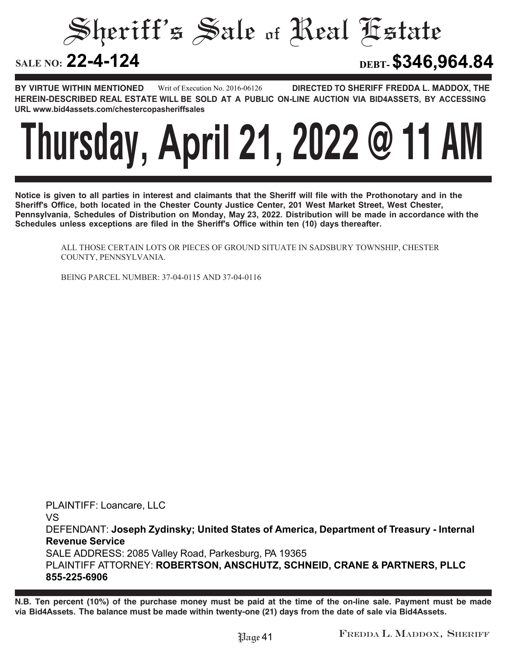Sheriff's Sale of Real Estate

#### **SALE NO:**

**22-4-124 DEBT-\$346,964.84**

**BY VIRTUE WITHIN MENTIONED DIRECTED TO SHERIFF FREDDA L. MADDOX, THE HEREIN-DESCRIBED REAL ESTATE WILL BE SOLD AT A PUBLIC ON-LINE AUCTION VIA BID4ASSETS, BY ACCESSING URL www.bid4assets.com/chestercopasheriffsales Writ of Execution No. 2016-06126**



**Notice is given to all parties in interest and claimants that the Sheriff will file with the Prothonotary and in the Sheriff's Office, both located in the Chester County Justice Center, 201 West Market Street, West Chester, Pennsylvania, Schedules of Distribution on Monday, May 23, 2022. Distribution will be made in accordance with the Schedules unless exceptions are filed in the Sheriff's Office within ten (10) days thereafter.**

ALL THOSE CERTAIN LOTS OR PIECES OF GROUND SITUATE IN SADSBURY TOWNSHIP, CHESTER COUNTY, PENNSYLVANIA.

BEING PARCEL NUMBER: 37-04-0115 AND 37-04-0116

**PLAINTIFF: Loancare, LLC VS DEFENDANT: Joseph Zydinsky; United States of America, Department of Treasury - Internal Revenue Service SALE ADDRESS: 2085 Valley Road, Parkesburg, PA 19365 PLAINTIFF ATTORNEY: ROBERTSON, ANSCHUTZ, SCHNEID, CRANE & PARTNERS, PLLC**

**855-225-6906**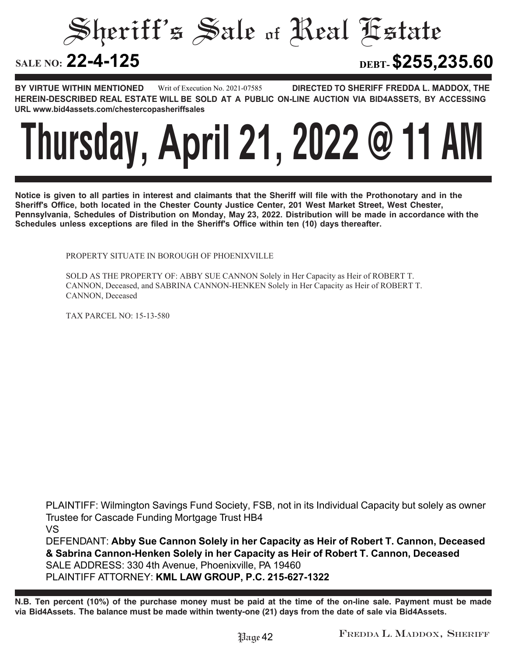Sheriff's Sale of Real Estate

**22-4-125 DEBT-\$255,235.60**

**BY VIRTUE WITHIN MENTIONED DIRECTED TO SHERIFF FREDDA L. MADDOX, THE HEREIN-DESCRIBED REAL ESTATE WILL BE SOLD AT A PUBLIC ON-LINE AUCTION VIA BID4ASSETS, BY ACCESSING URL www.bid4assets.com/chestercopasheriffsales Writ of Execution No. 2021-07585**

### **Thursday, April 21, 2022 @ 11 AM**

**Notice is given to all parties in interest and claimants that the Sheriff will file with the Prothonotary and in the Sheriff's Office, both located in the Chester County Justice Center, 201 West Market Street, West Chester, Pennsylvania, Schedules of Distribution on Monday, May 23, 2022. Distribution will be made in accordance with the Schedules unless exceptions are filed in the Sheriff's Office within ten (10) days thereafter.**

PROPERTY SITUATE IN BOROUGH OF PHOENIXVILLE

SOLD AS THE PROPERTY OF: ABBY SUE CANNON Solely in Her Capacity as Heir of ROBERT T. CANNON, Deceased, and SABRINA CANNON-HENKEN Solely in Her Capacity as Heir of ROBERT T. CANNON, Deceased

TAX PARCEL NO: 15-13-580

**PLAINTIFF: Wilmington Savings Fund Society, FSB, not in its Individual Capacity but solely as owner Trustee for Cascade Funding Mortgage Trust HB4**

**VS**

**DEFENDANT: Abby Sue Cannon Solely in her Capacity as Heir of Robert T. Cannon, Deceased & Sabrina Cannon-Henken Solely in her Capacity as Heir of Robert T. Cannon, Deceased SALE ADDRESS: 330 4th Avenue, Phoenixville, PA 19460 PLAINTIFF ATTORNEY: KML LAW GROUP, P.C. 215-627-1322**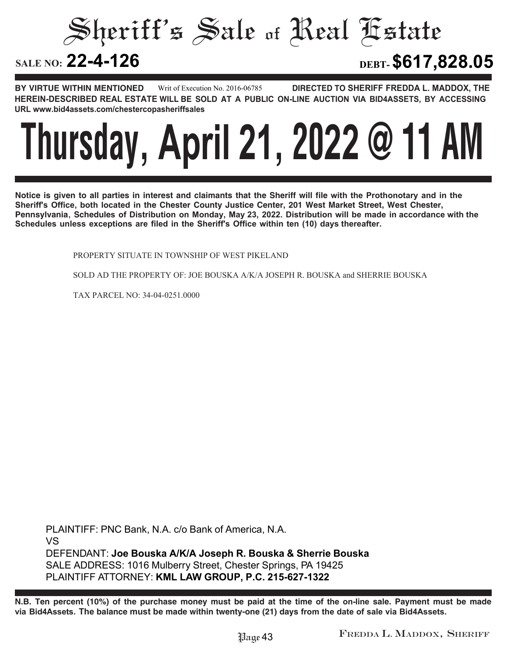Sheriff's Sale of Real Estate

**22-4-126 DEBT-\$617,828.05**

**BY VIRTUE WITHIN MENTIONED DIRECTED TO SHERIFF FREDDA L. MADDOX, THE HEREIN-DESCRIBED REAL ESTATE WILL BE SOLD AT A PUBLIC ON-LINE AUCTION VIA BID4ASSETS, BY ACCESSING URL www.bid4assets.com/chestercopasheriffsales Writ of Execution No. 2016-06785**

### **Thursday, April 21, 2022 @ 11 AM**

**Notice is given to all parties in interest and claimants that the Sheriff will file with the Prothonotary and in the Sheriff's Office, both located in the Chester County Justice Center, 201 West Market Street, West Chester, Pennsylvania, Schedules of Distribution on Monday, May 23, 2022. Distribution will be made in accordance with the Schedules unless exceptions are filed in the Sheriff's Office within ten (10) days thereafter.**

PROPERTY SITUATE IN TOWNSHIP OF WEST PIKELAND

SOLD AD THE PROPERTY OF: JOE BOUSKA A/K/A JOSEPH R. BOUSKA and SHERRIE BOUSKA

TAX PARCEL NO: 34-04-0251.0000

**PLAINTIFF: PNC Bank, N.A. c/o Bank of America, N.A. VS DEFENDANT: Joe Bouska A/K/A Joseph R. Bouska & Sherrie Bouska SALE ADDRESS: 1016 Mulberry Street, Chester Springs, PA 19425 PLAINTIFF ATTORNEY: KML LAW GROUP, P.C. 215-627-1322**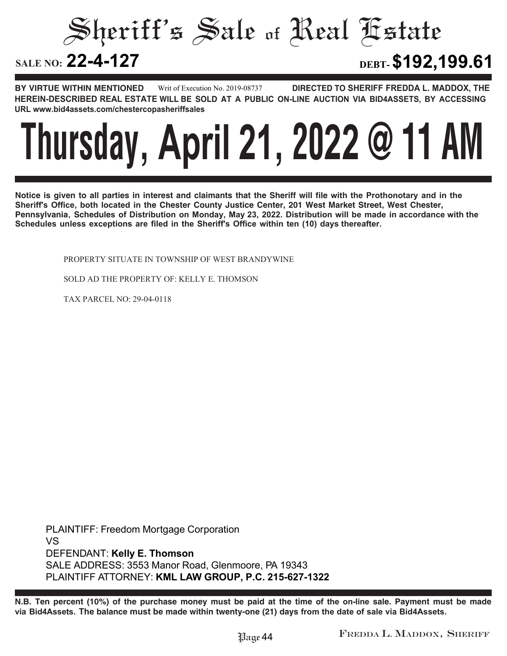#### Sheriff's Sale of Real Estate SALE NO: 22-4-127 **22-4-127 DEBT-\$192,199.61**

**BY VIRTUE WITHIN MENTIONED DIRECTED TO SHERIFF FREDDA L. MADDOX, THE HEREIN-DESCRIBED REAL ESTATE WILL BE SOLD AT A PUBLIC ON-LINE AUCTION VIA BID4ASSETS, BY ACCESSING URL www.bid4assets.com/chestercopasheriffsales Writ of Execution No. 2019-08737**



**Notice is given to all parties in interest and claimants that the Sheriff will file with the Prothonotary and in the Sheriff's Office, both located in the Chester County Justice Center, 201 West Market Street, West Chester, Pennsylvania, Schedules of Distribution on Monday, May 23, 2022. Distribution will be made in accordance with the Schedules unless exceptions are filed in the Sheriff's Office within ten (10) days thereafter.**

PROPERTY SITUATE IN TOWNSHIP OF WEST BRANDYWINE

SOLD AD THE PROPERTY OF: KELLY E. THOMSON

TAX PARCEL NO: 29-04-0118

**PLAINTIFF: Freedom Mortgage Corporation VS DEFENDANT: Kelly E. Thomson SALE ADDRESS: 3553 Manor Road, Glenmoore, PA 19343 PLAINTIFF ATTORNEY: KML LAW GROUP, P.C. 215-627-1322**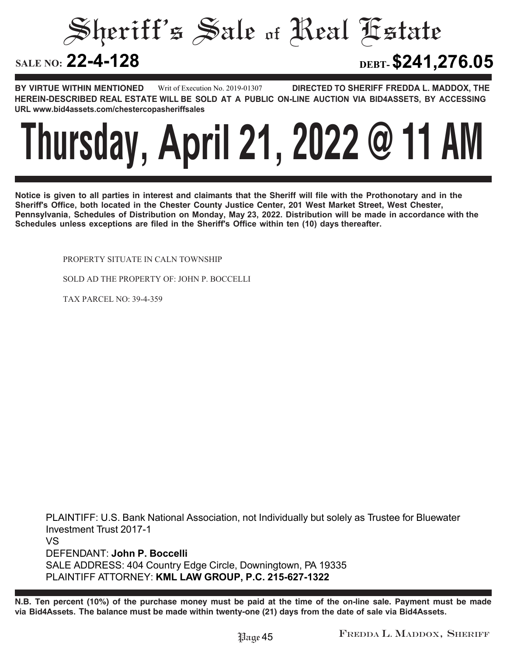Sheriff's Sale of Real Estate

**22-4-128 DEBT-\$241,276.05**

**BY VIRTUE WITHIN MENTIONED DIRECTED TO SHERIFF FREDDA L. MADDOX, THE HEREIN-DESCRIBED REAL ESTATE WILL BE SOLD AT A PUBLIC ON-LINE AUCTION VIA BID4ASSETS, BY ACCESSING URL www.bid4assets.com/chestercopasheriffsales Writ of Execution No. 2019-01307**

### **Thursday, April 21, 2022 @ 11 AM**

**Notice is given to all parties in interest and claimants that the Sheriff will file with the Prothonotary and in the Sheriff's Office, both located in the Chester County Justice Center, 201 West Market Street, West Chester, Pennsylvania, Schedules of Distribution on Monday, May 23, 2022. Distribution will be made in accordance with the Schedules unless exceptions are filed in the Sheriff's Office within ten (10) days thereafter.**

PROPERTY SITUATE IN CALN TOWNSHIP

SOLD AD THE PROPERTY OF: JOHN P. BOCCELLI

TAX PARCEL NO: 39-4-359

**PLAINTIFF: U.S. Bank National Association, not Individually but solely as Trustee for Bluewater Investment Trust 2017-1 VS DEFENDANT: John P. Boccelli SALE ADDRESS: 404 Country Edge Circle, Downingtown, PA 19335 PLAINTIFF ATTORNEY: KML LAW GROUP, P.C. 215-627-1322**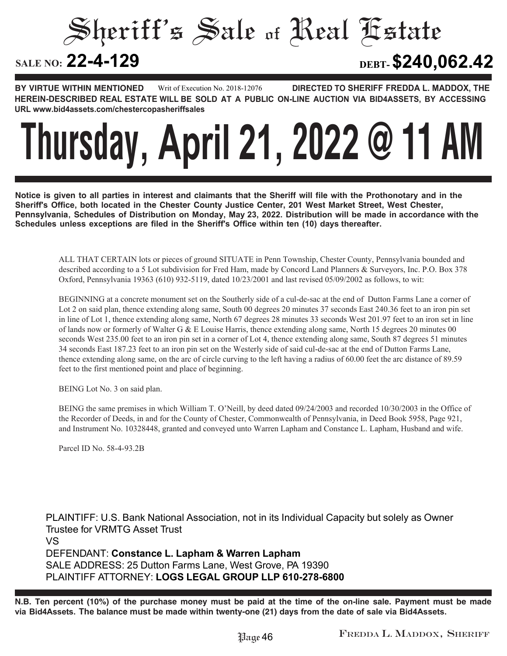Sheriff's Sale of Real Estate

**22-4-129 DEBT-\$240,062.42**

**BY VIRTUE WITHIN MENTIONED DIRECTED TO SHERIFF FREDDA L. MADDOX, THE HEREIN-DESCRIBED REAL ESTATE WILL BE SOLD AT A PUBLIC ON-LINE AUCTION VIA BID4ASSETS, BY ACCESSING URL www.bid4assets.com/chestercopasheriffsales Writ of Execution No. 2018-12076**

# **Thursday, April 21, 2022 @ 11 AM**

**Notice is given to all parties in interest and claimants that the Sheriff will file with the Prothonotary and in the Sheriff's Office, both located in the Chester County Justice Center, 201 West Market Street, West Chester, Pennsylvania, Schedules of Distribution on Monday, May 23, 2022. Distribution will be made in accordance with the Schedules unless exceptions are filed in the Sheriff's Office within ten (10) days thereafter.**

ALL THAT CERTAIN lots or pieces of ground SITUATE in Penn Township, Chester County, Pennsylvania bounded and described according to a 5 Lot subdivision for Fred Ham, made by Concord Land Planners & Surveyors, Inc. P.O. Box 378 Oxford, Pennsylvania 19363 (610) 932-5119, dated 10/23/2001 and last revised 05/09/2002 as follows, to wit:

BEGINNING at a concrete monument set on the Southerly side of a cul-de-sac at the end of Dutton Farms Lane a corner of Lot 2 on said plan, thence extending along same, South 00 degrees 20 minutes 37 seconds East 240.36 feet to an iron pin set in line of Lot 1, thence extending along same, North 67 degrees 28 minutes 33 seconds West 201.97 feet to an iron set in line of lands now or formerly of Walter G & E Louise Harris, thence extending along same, North 15 degrees 20 minutes 00 seconds West 235.00 feet to an iron pin set in a corner of Lot 4, thence extending along same, South 87 degrees 51 minutes 34 seconds East 187.23 feet to an iron pin set on the Westerly side of said cul-de-sac at the end of Dutton Farms Lane, thence extending along same, on the arc of circle curving to the left having a radius of 60.00 feet the arc distance of 89.59 feet to the first mentioned point and place of beginning.

BEING Lot No. 3 on said plan.

BEING the same premises in which William T. O'Neill, by deed dated 09/24/2003 and recorded 10/30/2003 in the Office of the Recorder of Deeds, in and for the County of Chester, Commonwealth of Pennsylvania, in Deed Book 5958, Page 921, and Instrument No. 10328448, granted and conveyed unto Warren Lapham and Constance L. Lapham, Husband and wife.

Parcel ID No. 58-4-93.2B

**PLAINTIFF: U.S. Bank National Association, not in its Individual Capacity but solely as Owner Trustee for VRMTG Asset Trust VS DEFENDANT: Constance L. Lapham & Warren Lapham SALE ADDRESS: 25 Dutton Farms Lane, West Grove, PA 19390 PLAINTIFF ATTORNEY: LOGS LEGAL GROUP LLP 610-278-6800**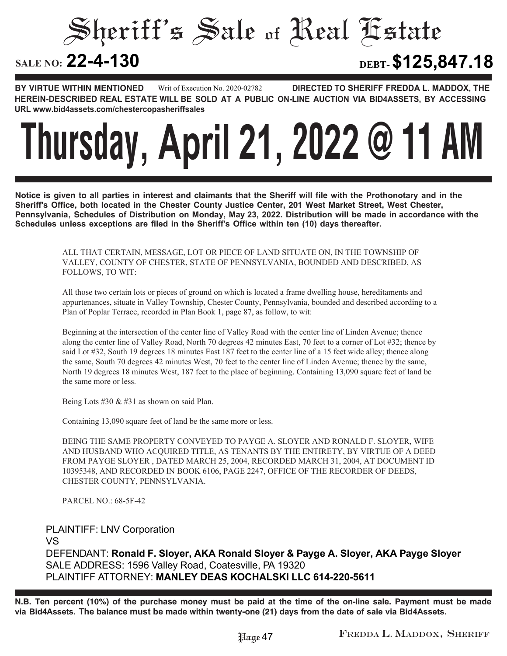Sheriff's Sale of Real Estate

**22-4-130 DEBT-\$125,847.18**

**BY VIRTUE WITHIN MENTIONED DIRECTED TO SHERIFF FREDDA L. MADDOX, THE HEREIN-DESCRIBED REAL ESTATE WILL BE SOLD AT A PUBLIC ON-LINE AUCTION VIA BID4ASSETS, BY ACCESSING URL www.bid4assets.com/chestercopasheriffsales Writ of Execution No. 2020-02782**

## **Thursday, April 21, 2022 @ 11 AM**

**Notice is given to all parties in interest and claimants that the Sheriff will file with the Prothonotary and in the Sheriff's Office, both located in the Chester County Justice Center, 201 West Market Street, West Chester, Pennsylvania, Schedules of Distribution on Monday, May 23, 2022. Distribution will be made in accordance with the Schedules unless exceptions are filed in the Sheriff's Office within ten (10) days thereafter.**

> ALL THAT CERTAIN, MESSAGE, LOT OR PIECE OF LAND SITUATE ON, IN THE TOWNSHIP OF VALLEY, COUNTY OF CHESTER, STATE OF PENNSYLVANIA, BOUNDED AND DESCRIBED, AS FOLLOWS, TO WIT:

All those two certain lots or pieces of ground on which is located a frame dwelling house, hereditaments and appurtenances, situate in Valley Township, Chester County, Pennsylvania, bounded and described according to a Plan of Poplar Terrace, recorded in Plan Book 1, page 87, as follow, to wit:

Beginning at the intersection of the center line of Valley Road with the center line of Linden Avenue; thence along the center line of Valley Road, North 70 degrees 42 minutes East, 70 feet to a corner of Lot #32; thence by said Lot #32, South 19 degrees 18 minutes East 187 feet to the center line of a 15 feet wide alley; thence along the same, South 70 degrees 42 minutes West, 70 feet to the center line of Linden Avenue; thence by the same, North 19 degrees 18 minutes West, 187 feet to the place of beginning. Containing 13,090 square feet of land be the same more or less.

Being Lots #30 & #31 as shown on said Plan.

Containing 13,090 square feet of land be the same more or less.

BEING THE SAME PROPERTY CONVEYED TO PAYGE A. SLOYER AND RONALD F. SLOYER, WIFE AND HUSBAND WHO ACQUIRED TITLE, AS TENANTS BY THE ENTIRETY, BY VIRTUE OF A DEED FROM PAYGE SLOYER , DATED MARCH 25, 2004, RECORDED MARCH 31, 2004, AT DOCUMENT ID 10395348, AND RECORDED IN BOOK 6106, PAGE 2247, OFFICE OF THE RECORDER OF DEEDS, CHESTER COUNTY, PENNSYLVANIA.

PARCEL NO.: 68-5F-42

**PLAINTIFF: LNV Corporation VS DEFENDANT: Ronald F. Sloyer, AKA Ronald Sloyer & Payge A. Sloyer, AKA Payge Sloyer SALE ADDRESS: 1596 Valley Road, Coatesville, PA 19320 PLAINTIFF ATTORNEY: MANLEY DEAS KOCHALSKI LLC 614-220-5611**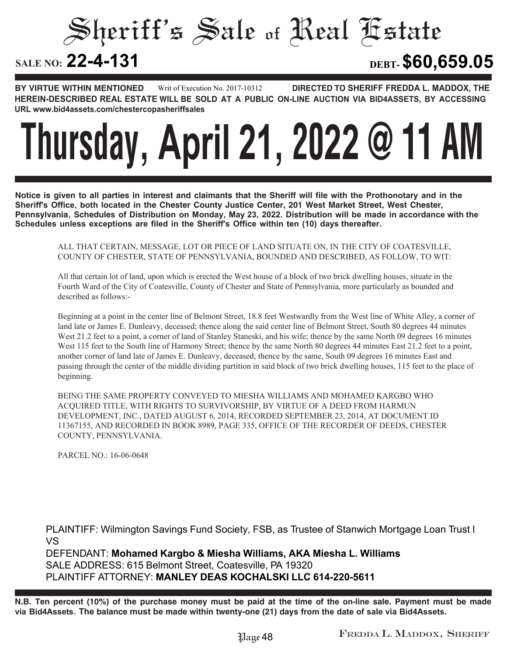Sheriff's Sale of Real Estate

**22-4-131 DEBT-\$60,659.05**

**BY VIRTUE WITHIN MENTIONED** Writ of Execution No. 2017-10312 **DIRECTED TO SHERIFF FREDDA L. MADDOX, THE HEREIN-DESCRIBED REAL ESTATE WILL BE SOLD AT A PUBLIC ON-LINE AUCTION VIA BID4ASSETS, BY ACCESSING URL www.bid4assets.com/chestercopasheriffsales Writ of Execution No. 2017-10312**

# **Thursday, April 21, 2022 @ 11 AM**

**Notice is given to all parties in interest and claimants that the Sheriff will file with the Prothonotary and in the Sheriff's Office, both located in the Chester County Justice Center, 201 West Market Street, West Chester, Pennsylvania, Schedules of Distribution on Monday, May 23, 2022. Distribution will be made in accordance with the Schedules unless exceptions are filed in the Sheriff's Office within ten (10) days thereafter.**

ALL THAT CERTAIN, MESSAGE, LOT OR PIECE OF LAND SITUATE ON, IN THE CITY OF COATESVILLE, COUNTY OF CHESTER, STATE OF PENNSYLVANIA, BOUNDED AND DESCRIBED, AS FOLLOW, TO WIT:

All that certain lot of land, upon which is erected the West house of a block of two brick dwelling houses, situate in the Fourth Ward of the City of Coatesville, County of Chester and State of Pennsylvania, more particularly as bounded and described as follows:-

Beginning at a point in the center line of Belmont Street, 18.8 feet Westwardly from the West line of White Alley, a corner of land late or James E. Dunleavy, deceased; thence along the said center line of Belmont Street, South 80 degrees 44 minutes West 21.2 feet to a point, a corner of land of Stanley Staneski, and his wife; thence by the same North 09 degrees 16 minutes West 115 feet to the South line of Harmony Street; thence by the same North 80 degrees 44 minutes East 21.2 feet to a point, another corner of land late of James E. Dunleavy, deceased; thence by the same, South 09 degrees 16 minutes East and passing through the center of the middle dividing partition in said block of two brick dwelling houses, 115 feet to the place of beginning.

BEING THE SAME PROPERTY CONVEYED TO MIESHA WILLIAMS AND MOHAMED KARGBO WHO ACQUIRED TITLE, WITH RIGHTS TO SURVIVORSHIP, BY VIRTUE OF A DEED FROM HARMUN DEVELOPMENT, INC., DATED AUGUST 6, 2014, RECORDED SEPTEMBER 23, 2014, AT DOCUMENT ID 11367155, AND RECORDED IN BOOK 8989, PAGE 335, OFFICE OF THE RECORDER OF DEEDS, CHESTER COUNTY, PENNSYLVANIA.

PARCEL NO.: 16-06-0648

**PLAINTIFF: Wilmington Savings Fund Society, FSB, as Trustee of Stanwich Mortgage Loan Trust I VS DEFENDANT: Mohamed Kargbo & Miesha Williams, AKA Miesha L. Williams SALE ADDRESS: 615 Belmont Street, Coatesville, PA 19320**

**PLAINTIFF ATTORNEY: MANLEY DEAS KOCHALSKI LLC 614-220-5611**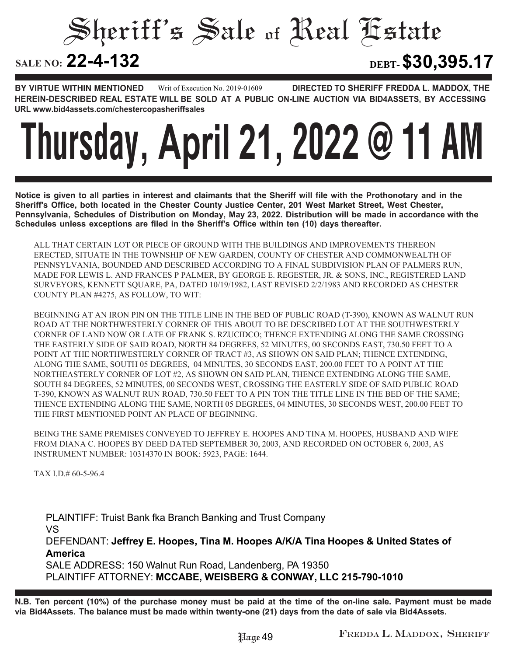Sheriff's Sale of Real Estate

**22-4-132 DEBT-\$30,395.17**

**BY VIRTUE WITHIN MENTIONED DIRECTED TO SHERIFF FREDDA L. MADDOX, THE HEREIN-DESCRIBED REAL ESTATE WILL BE SOLD AT A PUBLIC ON-LINE AUCTION VIA BID4ASSETS, BY ACCESSING URL www.bid4assets.com/chestercopasheriffsales Writ of Execution No. 2019-01609**

# **Thursday, April 21, 2022 @ 11 AM**

**Notice is given to all parties in interest and claimants that the Sheriff will file with the Prothonotary and in the Sheriff's Office, both located in the Chester County Justice Center, 201 West Market Street, West Chester, Pennsylvania, Schedules of Distribution on Monday, May 23, 2022. Distribution will be made in accordance with the Schedules unless exceptions are filed in the Sheriff's Office within ten (10) days thereafter.**

ALL THAT CERTAIN LOT OR PIECE OF GROUND WITH THE BUILDINGS AND IMPROVEMENTS THEREON ERECTED, SITUATE IN THE TOWNSHIP OF NEW GARDEN, COUNTY OF CHESTER AND COMMONWEALTH OF PENNSYLVANIA, BOUNDED AND DESCRIBED ACCORDING TO A FINAL SUBDIVISION PLAN OF PALMERS RUN, MADE FOR LEWIS L. AND FRANCES P PALMER, BY GEORGE E. REGESTER, JR. & SONS, INC., REGISTERED LAND SURVEYORS, KENNETT SQUARE, PA, DATED 10/19/1982, LAST REVISED 2/2/1983 AND RECORDED AS CHESTER COUNTY PLAN #4275, AS FOLLOW, TO WIT:

BEGINNING AT AN IRON PIN ON THE TITLE LINE IN THE BED OF PUBLIC ROAD (T-390), KNOWN AS WALNUT RUN ROAD AT THE NORTHWESTERLY CORNER OF THIS ABOUT TO BE DESCRIBED LOT AT THE SOUTHWESTERLY CORNER OF LAND NOW OR LATE OF FRANK S. RZUCIDCO; THENCE EXTENDING ALONG THE SAME CROSSING THE EASTERLY SIDE OF SAID ROAD, NORTH 84 DEGREES, 52 MINUTES, 00 SECONDS EAST, 730.50 FEET TO A POINT AT THE NORTHWESTERLY CORNER OF TRACT #3, AS SHOWN ON SAID PLAN; THENCE EXTENDING, ALONG THE SAME, SOUTH 05 DEGREES, 04 MINUTES, 30 SECONDS EAST, 200.00 FEET TO A POINT AT THE NORTHEASTERLY CORNER OF LOT #2, AS SHOWN ON SAID PLAN, THENCE EXTENDING ALONG THE SAME, SOUTH 84 DEGREES, 52 MINUTES, 00 SECONDS WEST, CROSSING THE EASTERLY SIDE OF SAID PUBLIC ROAD T-390, KNOWN AS WALNUT RUN ROAD, 730.50 FEET TO A PIN TON THE TITLE LINE IN THE BED OF THE SAME; THENCE EXTENDING ALONG THE SAME, NORTH 05 DEGREES, 04 MINUTES, 30 SECONDS WEST, 200.00 FEET TO THE FIRST MENTIONED POINT AN PLACE OF BEGINNING.

BEING THE SAME PREMISES CONVEYED TO JEFFREY E. HOOPES AND TINA M. HOOPES, HUSBAND AND WIFE FROM DIANA C. HOOPES BY DEED DATED SEPTEMBER 30, 2003, AND RECORDED ON OCTOBER 6, 2003, AS INSTRUMENT NUMBER: 10314370 IN BOOK: 5923, PAGE: 1644.

TAX I.D.# 60-5-96.4

**PLAINTIFF: Truist Bank fka Branch Banking and Trust Company VS DEFENDANT: Jeffrey E. Hoopes, Tina M. Hoopes A/K/A Tina Hoopes & United States of America SALE ADDRESS: 150 Walnut Run Road, Landenberg, PA 19350 PLAINTIFF ATTORNEY: MCCABE, WEISBERG & CONWAY, LLC 215-790-1010**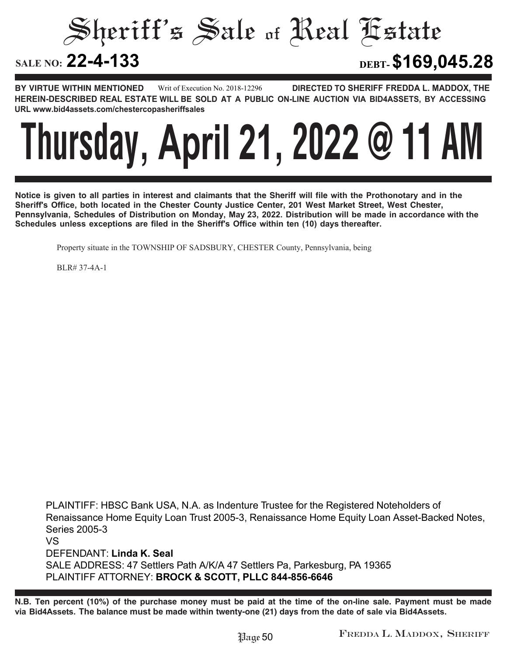Sheriff's Sale of Real Estate

**22-4-133 DEBT-\$169,045.28**

**BY VIRTUE WITHIN MENTIONED DIRECTED TO SHERIFF FREDDA L. MADDOX, THE HEREIN-DESCRIBED REAL ESTATE WILL BE SOLD AT A PUBLIC ON-LINE AUCTION VIA BID4ASSETS, BY ACCESSING URL www.bid4assets.com/chestercopasheriffsales Writ of Execution No. 2018-12296**



**Notice is given to all parties in interest and claimants that the Sheriff will file with the Prothonotary and in the Sheriff's Office, both located in the Chester County Justice Center, 201 West Market Street, West Chester, Pennsylvania, Schedules of Distribution on Monday, May 23, 2022. Distribution will be made in accordance with the Schedules unless exceptions are filed in the Sheriff's Office within ten (10) days thereafter.**

Property situate in the TOWNSHIP OF SADSBURY, CHESTER County, Pennsylvania, being

BLR# 37-4A-1

**PLAINTIFF: HBSC Bank USA, N.A. as Indenture Trustee for the Registered Noteholders of Renaissance Home Equity Loan Trust 2005-3, Renaissance Home Equity Loan Asset-Backed Notes, Series 2005-3 VS DEFENDANT: Linda K. Seal SALE ADDRESS: 47 Settlers Path A/K/A 47 Settlers Pa, Parkesburg, PA 19365 PLAINTIFF ATTORNEY: BROCK & SCOTT, PLLC 844-856-6646**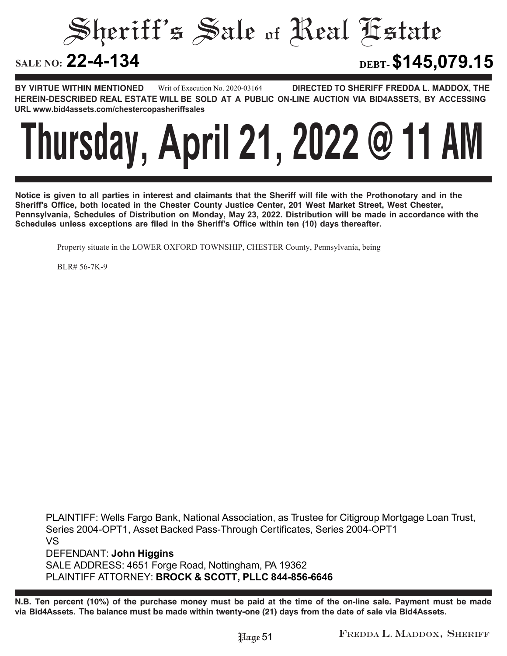Sheriff's Sale of Real Estate

**22-4-134 DEBT-\$145,079.15**

**BY VIRTUE WITHIN MENTIONED DIRECTED TO SHERIFF FREDDA L. MADDOX, THE HEREIN-DESCRIBED REAL ESTATE WILL BE SOLD AT A PUBLIC ON-LINE AUCTION VIA BID4ASSETS, BY ACCESSING URL www.bid4assets.com/chestercopasheriffsales Writ of Execution No. 2020-03164**



**Notice is given to all parties in interest and claimants that the Sheriff will file with the Prothonotary and in the Sheriff's Office, both located in the Chester County Justice Center, 201 West Market Street, West Chester, Pennsylvania, Schedules of Distribution on Monday, May 23, 2022. Distribution will be made in accordance with the Schedules unless exceptions are filed in the Sheriff's Office within ten (10) days thereafter.**

Property situate in the LOWER OXFORD TOWNSHIP, CHESTER County, Pennsylvania, being

BLR# 56-7K-9

**PLAINTIFF: Wells Fargo Bank, National Association, as Trustee for Citigroup Mortgage Loan Trust, Series 2004-OPT1, Asset Backed Pass-Through Certificates, Series 2004-OPT1 VS DEFENDANT: John Higgins SALE ADDRESS: 4651 Forge Road, Nottingham, PA 19362 PLAINTIFF ATTORNEY: BROCK & SCOTT, PLLC 844-856-6646**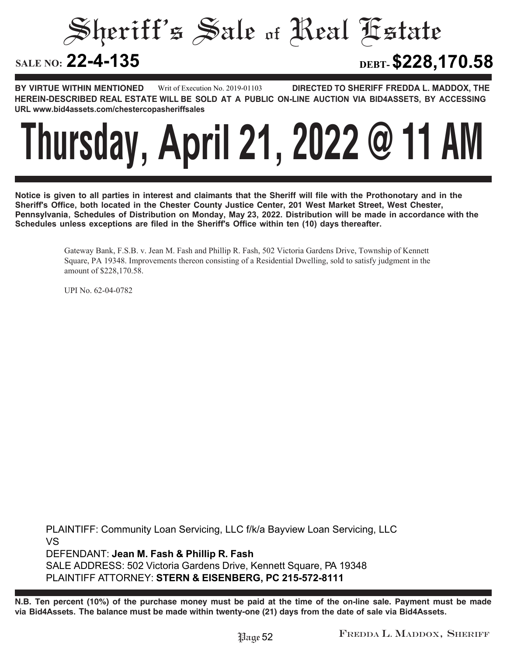Sheriff's Sale of Real Estate

**22-4-135 DEBT-\$228,170.58**

**BY VIRTUE WITHIN MENTIONED DIRECTED TO SHERIFF FREDDA L. MADDOX, THE HEREIN-DESCRIBED REAL ESTATE WILL BE SOLD AT A PUBLIC ON-LINE AUCTION VIA BID4ASSETS, BY ACCESSING URL www.bid4assets.com/chestercopasheriffsales Writ of Execution No. 2019-01103**



**Notice is given to all parties in interest and claimants that the Sheriff will file with the Prothonotary and in the Sheriff's Office, both located in the Chester County Justice Center, 201 West Market Street, West Chester, Pennsylvania, Schedules of Distribution on Monday, May 23, 2022. Distribution will be made in accordance with the Schedules unless exceptions are filed in the Sheriff's Office within ten (10) days thereafter.**

> Gateway Bank, F.S.B. v. Jean M. Fash and Phillip R. Fash, 502 Victoria Gardens Drive, Township of Kennett Square, PA 19348. Improvements thereon consisting of a Residential Dwelling, sold to satisfy judgment in the amount of \$228,170.58.

UPI No. 62-04-0782

**PLAINTIFF:** Community Loan Servicing, LLC f/k/a Bayview Loan Servicing, LLC **VS DEFENDANT: Jean M. Fash & Phillip R. Fash SALE ADDRESS: 502 Victoria Gardens Drive, Kennett Square, PA 19348 PLAINTIFF ATTORNEY: STERN & EISENBERG, PC 215-572-8111**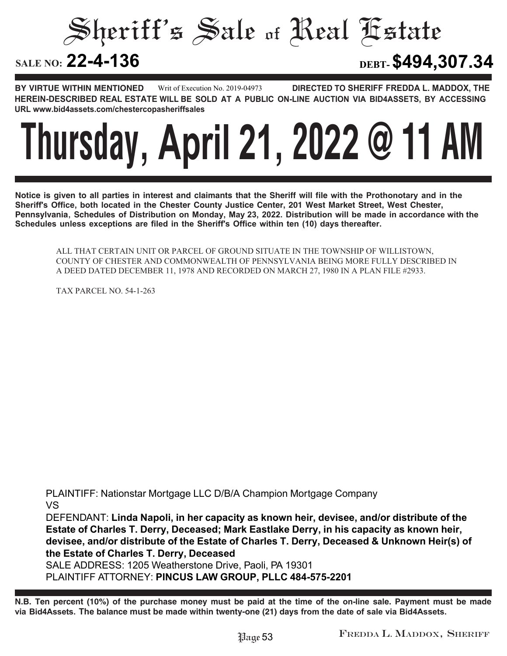Sheriff's Sale of Real Estate

**22-4-136 DEBT-\$494,307.34**

**BY VIRTUE WITHIN MENTIONED DIRECTED TO SHERIFF FREDDA L. MADDOX, THE HEREIN-DESCRIBED REAL ESTATE WILL BE SOLD AT A PUBLIC ON-LINE AUCTION VIA BID4ASSETS, BY ACCESSING URL www.bid4assets.com/chestercopasheriffsales Writ of Execution No. 2019-04973**

### **Thursday, April 21, 2022 @ 11 AM**

**Notice is given to all parties in interest and claimants that the Sheriff will file with the Prothonotary and in the Sheriff's Office, both located in the Chester County Justice Center, 201 West Market Street, West Chester, Pennsylvania, Schedules of Distribution on Monday, May 23, 2022. Distribution will be made in accordance with the Schedules unless exceptions are filed in the Sheriff's Office within ten (10) days thereafter.**

ALL THAT CERTAIN UNIT OR PARCEL OF GROUND SITUATE IN THE TOWNSHIP OF WILLISTOWN, COUNTY OF CHESTER AND COMMONWEALTH OF PENNSYLVANIA BEING MORE FULLY DESCRIBED IN A DEED DATED DECEMBER 11, 1978 AND RECORDED ON MARCH 27, 1980 IN A PLAN FILE #2933.

TAX PARCEL NO. 54-1-263

**PLAINTIFF: Nationstar Mortgage LLC D/B/A Champion Mortgage Company VS**

**DEFENDANT: Linda Napoli, in her capacity as known heir, devisee, and/or distribute of the Estate of Charles T. Derry, Deceased; Mark Eastlake Derry, in his capacity as known heir, devisee, and/or distribute of the Estate of Charles T. Derry, Deceased & Unknown Heir(s) of the Estate of Charles T. Derry, Deceased**

**SALE ADDRESS: 1205 Weatherstone Drive, Paoli, PA 19301 PLAINTIFF ATTORNEY: PINCUS LAW GROUP, PLLC 484-575-2201**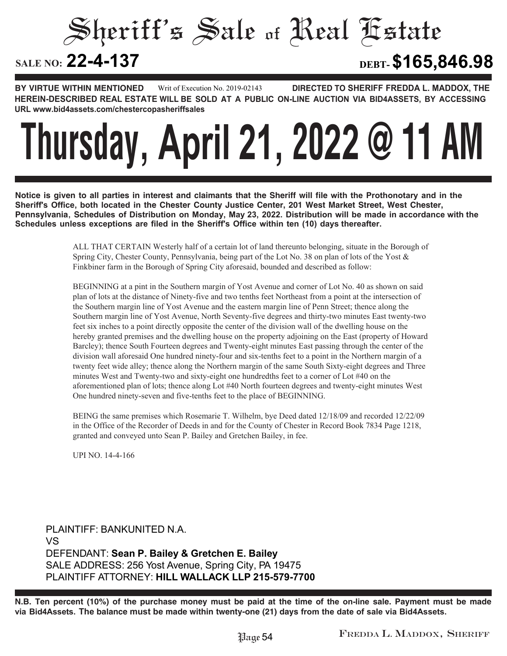#### Sheriff's Sale of Real Estate SALE NO: 22-4-137 **22-4-137 DEBT-\$165,846.98**

**BY VIRTUE WITHIN MENTIONED DIRECTED TO SHERIFF FREDDA L. MADDOX, THE HEREIN-DESCRIBED REAL ESTATE WILL BE SOLD AT A PUBLIC ON-LINE AUCTION VIA BID4ASSETS, BY ACCESSING URL www.bid4assets.com/chestercopasheriffsales Writ of Execution No. 2019-02143**

# **Thursday, April 21, 2022 @ 11 AM**

**Notice is given to all parties in interest and claimants that the Sheriff will file with the Prothonotary and in the Sheriff's Office, both located in the Chester County Justice Center, 201 West Market Street, West Chester, Pennsylvania, Schedules of Distribution on Monday, May 23, 2022. Distribution will be made in accordance with the Schedules unless exceptions are filed in the Sheriff's Office within ten (10) days thereafter.**

> ALL THAT CERTAIN Westerly half of a certain lot of land thereunto belonging, situate in the Borough of Spring City, Chester County, Pennsylvania, being part of the Lot No. 38 on plan of lots of the Yost & Finkbiner farm in the Borough of Spring City aforesaid, bounded and described as follow:

> BEGINNING at a pint in the Southern margin of Yost Avenue and corner of Lot No. 40 as shown on said plan of lots at the distance of Ninety-five and two tenths feet Northeast from a point at the intersection of the Southern margin line of Yost Avenue and the eastern margin line of Penn Street; thence along the Southern margin line of Yost Avenue, North Seventy-five degrees and thirty-two minutes East twenty-two feet six inches to a point directly opposite the center of the division wall of the dwelling house on the hereby granted premises and the dwelling house on the property adjoining on the East (property of Howard Barcley); thence South Fourteen degrees and Twenty-eight minutes East passing through the center of the division wall aforesaid One hundred ninety-four and six-tenths feet to a point in the Northern margin of a twenty feet wide alley; thence along the Northern margin of the same South Sixty-eight degrees and Three minutes West and Twenty-two and sixty-eight one hundredths feet to a corner of Lot #40 on the aforementioned plan of lots; thence along Lot #40 North fourteen degrees and twenty-eight minutes West One hundred ninety-seven and five-tenths feet to the place of BEGINNING.

> BEING the same premises which Rosemarie T. Wilhelm, bye Deed dated 12/18/09 and recorded 12/22/09 in the Office of the Recorder of Deeds in and for the County of Chester in Record Book 7834 Page 1218, granted and conveyed unto Sean P. Bailey and Gretchen Bailey, in fee.

UPI NO. 14-4-166

**PLAINTIFF: BANKUNITED N.A. VS DEFENDANT: Sean P. Bailey & Gretchen E. Bailey SALE ADDRESS: 256 Yost Avenue, Spring City, PA 19475 PLAINTIFF ATTORNEY: HILL WALLACK LLP 215-579-7700**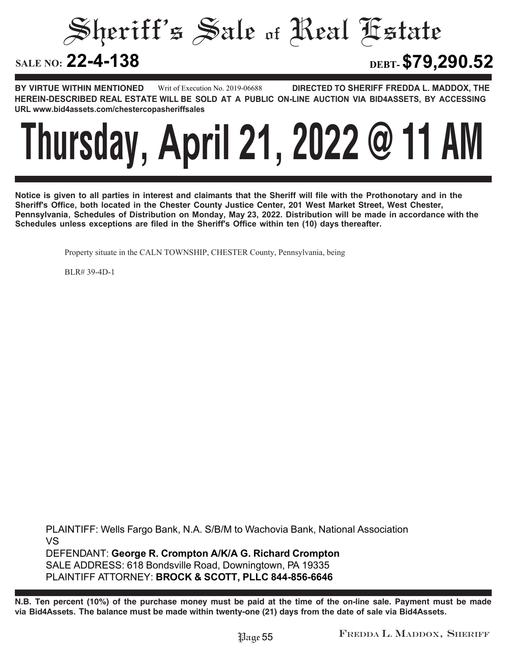Sheriff's Sale of Real Estate

**22-4-138 DEBT-\$79,290.52**

**BY VIRTUE WITHIN MENTIONED DIRECTED TO SHERIFF FREDDA L. MADDOX, THE HEREIN-DESCRIBED REAL ESTATE WILL BE SOLD AT A PUBLIC ON-LINE AUCTION VIA BID4ASSETS, BY ACCESSING URL www.bid4assets.com/chestercopasheriffsales Writ of Execution No. 2019-06688**



**Notice is given to all parties in interest and claimants that the Sheriff will file with the Prothonotary and in the Sheriff's Office, both located in the Chester County Justice Center, 201 West Market Street, West Chester, Pennsylvania, Schedules of Distribution on Monday, May 23, 2022. Distribution will be made in accordance with the Schedules unless exceptions are filed in the Sheriff's Office within ten (10) days thereafter.**

Property situate in the CALN TOWNSHIP, CHESTER County, Pennsylvania, being

BLR# 39-4D-1

**PLAINTIFF: Wells Fargo Bank, N.A. S/B/M to Wachovia Bank, National Association VS DEFENDANT: George R. Crompton A/K/A G. Richard Crompton SALE ADDRESS: 618 Bondsville Road, Downingtown, PA 19335 PLAINTIFF ATTORNEY: BROCK & SCOTT, PLLC 844-856-6646**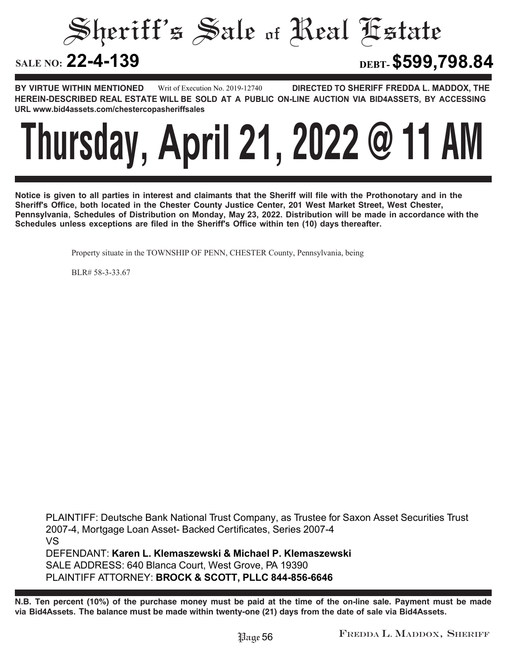Sheriff's Sale of Real Estate

**22-4-139 DEBT-\$599,798.84**

**BY VIRTUE WITHIN MENTIONED DIRECTED TO SHERIFF FREDDA L. MADDOX, THE HEREIN-DESCRIBED REAL ESTATE WILL BE SOLD AT A PUBLIC ON-LINE AUCTION VIA BID4ASSETS, BY ACCESSING URL www.bid4assets.com/chestercopasheriffsales Writ of Execution No. 2019-12740**



**Notice is given to all parties in interest and claimants that the Sheriff will file with the Prothonotary and in the Sheriff's Office, both located in the Chester County Justice Center, 201 West Market Street, West Chester, Pennsylvania, Schedules of Distribution on Monday, May 23, 2022. Distribution will be made in accordance with the Schedules unless exceptions are filed in the Sheriff's Office within ten (10) days thereafter.**

Property situate in the TOWNSHIP OF PENN, CHESTER County, Pennsylvania, being

BLR# 58-3-33.67

**PLAINTIFF: Deutsche Bank National Trust Company, as Trustee for Saxon Asset Securities Trust 2007-4, Mortgage Loan Asset- Backed Certificates, Series 2007-4 VS DEFENDANT: Karen L. Klemaszewski & Michael P. Klemaszewski SALE ADDRESS: 640 Bl**anca **Court, West Grove, PA 19390 PLAINTIFF ATTORNEY: BROCK & SCOTT, PLLC 844-856-6646**